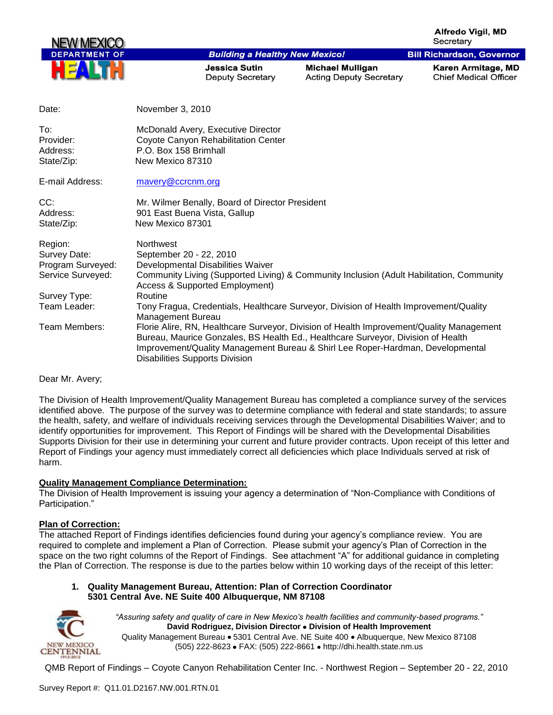**Alfredo Viail, MD** Secretary

**Bill Richardson, Governor** 



## **Building a Healthy New Mexico!**

**Jessica Sutin Deputy Secretary** 

**Michael Mulligan Acting Deputy Secretary**  Karen Armitage, MD **Chief Medical Officer** 

| Date:                                                                                                              | November 3, 2010                                                                                                                                                                                                                                                                                                                                                                                                                                                                                                                   |
|--------------------------------------------------------------------------------------------------------------------|------------------------------------------------------------------------------------------------------------------------------------------------------------------------------------------------------------------------------------------------------------------------------------------------------------------------------------------------------------------------------------------------------------------------------------------------------------------------------------------------------------------------------------|
| To:<br>Provider:<br>Address:<br>State/Zip:                                                                         | McDonald Avery, Executive Director<br>Coyote Canyon Rehabilitation Center<br>P.O. Box 158 Brimhall<br>New Mexico 87310                                                                                                                                                                                                                                                                                                                                                                                                             |
| E-mail Address:                                                                                                    | mavery@ccrcnm.org                                                                                                                                                                                                                                                                                                                                                                                                                                                                                                                  |
| CC:<br>Address:<br>State/Zip:                                                                                      | Mr. Wilmer Benally, Board of Director President<br>901 East Buena Vista, Gallup<br>New Mexico 87301                                                                                                                                                                                                                                                                                                                                                                                                                                |
| Region:<br>Survey Date:<br>Program Surveyed:<br>Service Surveyed:<br>Survey Type:<br>Team Leader:<br>Team Members: | <b>Northwest</b><br>September 20 - 22, 2010<br>Developmental Disabilities Waiver<br>Community Living (Supported Living) & Community Inclusion (Adult Habilitation, Community<br><b>Access &amp; Supported Employment)</b><br>Routine<br>Tony Fragua, Credentials, Healthcare Surveyor, Division of Health Improvement/Quality<br>Management Bureau<br>Florie Alire, RN, Healthcare Surveyor, Division of Health Improvement/Quality Management<br>Bureau, Maurice Gonzales, BS Health Ed., Healthcare Surveyor, Division of Health |
|                                                                                                                    | Improvement/Quality Management Bureau & Shirl Lee Roper-Hardman, Developmental<br><b>Disabilities Supports Division</b>                                                                                                                                                                                                                                                                                                                                                                                                            |

#### Dear Mr. Avery;

The Division of Health Improvement/Quality Management Bureau has completed a compliance survey of the services identified above. The purpose of the survey was to determine compliance with federal and state standards; to assure the health, safety, and welfare of individuals receiving services through the Developmental Disabilities Waiver; and to identify opportunities for improvement. This Report of Findings will be shared with the Developmental Disabilities Supports Division for their use in determining your current and future provider contracts. Upon receipt of this letter and Report of Findings your agency must immediately correct all deficiencies which place Individuals served at risk of harm.

#### **Quality Management Compliance Determination:**

The Division of Health Improvement is issuing your agency a determination of "Non-Compliance with Conditions of Participation."

#### **Plan of Correction:**

The attached Report of Findings identifies deficiencies found during your agency"s compliance review. You are required to complete and implement a Plan of Correction. Please submit your agency"s Plan of Correction in the space on the two right columns of the Report of Findings. See attachment "A" for additional guidance in completing the Plan of Correction. The response is due to the parties below within 10 working days of the receipt of this letter:

#### **1. Quality Management Bureau, Attention: Plan of Correction Coordinator 5301 Central Ave. NE Suite 400 Albuquerque, NM 87108**



*"Assuring safety and quality of care in New Mexico's health facilities and community-based programs."* **David Rodriguez, Division Director Division of Health Improvement**  Quality Management Bureau • 5301 Central Ave. NE Suite 400 • Albuquerque, New Mexico 87108 (505) 222-8623 • FAX: (505) 222-8661 • http://dhi.health.state.nm.us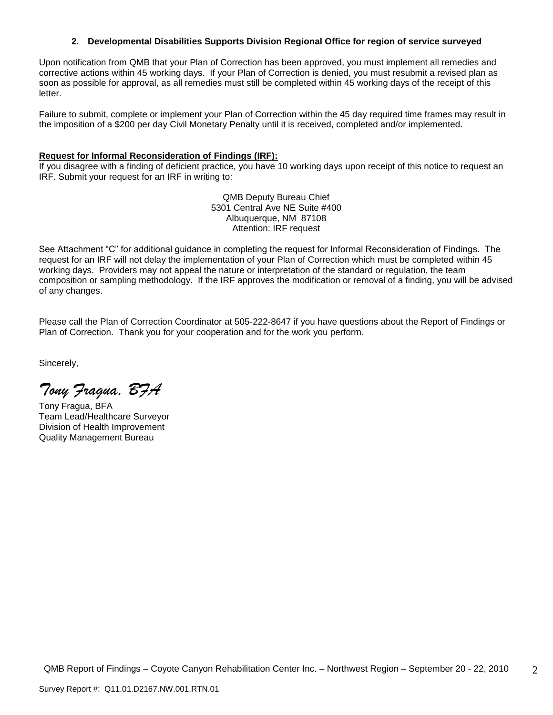## **2. Developmental Disabilities Supports Division Regional Office for region of service surveyed**

Upon notification from QMB that your Plan of Correction has been approved, you must implement all remedies and corrective actions within 45 working days. If your Plan of Correction is denied, you must resubmit a revised plan as soon as possible for approval, as all remedies must still be completed within 45 working days of the receipt of this letter.

Failure to submit, complete or implement your Plan of Correction within the 45 day required time frames may result in the imposition of a \$200 per day Civil Monetary Penalty until it is received, completed and/or implemented.

## **Request for Informal Reconsideration of Findings (IRF):**

If you disagree with a finding of deficient practice, you have 10 working days upon receipt of this notice to request an IRF. Submit your request for an IRF in writing to:

> QMB Deputy Bureau Chief 5301 Central Ave NE Suite #400 Albuquerque, NM 87108 Attention: IRF request

See Attachment "C" for additional guidance in completing the request for Informal Reconsideration of Findings. The request for an IRF will not delay the implementation of your Plan of Correction which must be completed within 45 working days. Providers may not appeal the nature or interpretation of the standard or regulation, the team composition or sampling methodology. If the IRF approves the modification or removal of a finding, you will be advised of any changes.

Please call the Plan of Correction Coordinator at 505-222-8647 if you have questions about the Report of Findings or Plan of Correction. Thank you for your cooperation and for the work you perform.

Sincerely,

*Tony Fragua, BFA*

Tony Fragua, BFA Team Lead/Healthcare Surveyor Division of Health Improvement Quality Management Bureau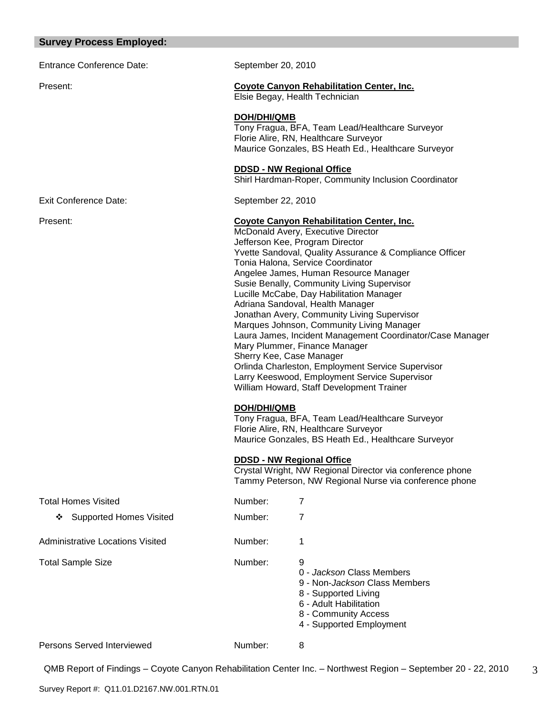## **Survey Process Employed:**

Entrance Conference Date: September 20, 2010

## Present: **Coyote Canyon Rehabilitation Center, Inc.**

Elsie Begay, Health Technician

#### **DOH/DHI/QMB**

Tony Fragua, BFA, Team Lead/Healthcare Surveyor Florie Alire, RN, Healthcare Surveyor Maurice Gonzales, BS Heath Ed., Healthcare Surveyor

#### **DDSD - NW Regional Office**

Shirl Hardman-Roper, Community Inclusion Coordinator

Exit Conference Date: September 22, 2010

## Present: **Coyote Canyon Rehabilitation Center, Inc.**

McDonald Avery, Executive Director Jefferson Kee, Program Director Yvette Sandoval, Quality Assurance & Compliance Officer Tonia Halona, Service Coordinator Angelee James, Human Resource Manager Susie Benally, Community Living Supervisor Lucille McCabe, Day Habilitation Manager Adriana Sandoval, Health Manager Jonathan Avery, Community Living Supervisor Marques Johnson, Community Living Manager Laura James, Incident Management Coordinator/Case Manager Mary Plummer, Finance Manager Sherry Kee, Case Manager Orlinda Charleston, Employment Service Supervisor Larry Keeswood, Employment Service Supervisor William Howard, Staff Development Trainer

# **DOH/DHI/QMB**

Tony Fragua, BFA, Team Lead/Healthcare Surveyor Florie Alire, RN, Healthcare Surveyor Maurice Gonzales, BS Heath Ed., Healthcare Surveyor

#### **DDSD - NW Regional Office**

Crystal Wright, NW Regional Director via conference phone Tammy Peterson, NW Regional Nurse via conference phone

| <b>Total Homes Visited</b>          | Number: |                                                                                                                                                                               |
|-------------------------------------|---------|-------------------------------------------------------------------------------------------------------------------------------------------------------------------------------|
| <b>Supported Homes Visited</b><br>❖ | Number: | 7                                                                                                                                                                             |
| Administrative Locations Visited    | Number: | 1                                                                                                                                                                             |
| <b>Total Sample Size</b>            | Number: | 9<br>0 - Jackson Class Members<br>9 - Non- <i>Jackson</i> Class Members<br>8 - Supported Living<br>6 - Adult Habilitation<br>8 - Community Access<br>4 - Supported Employment |
| <b>Persons Served Interviewed</b>   | Number: | 8                                                                                                                                                                             |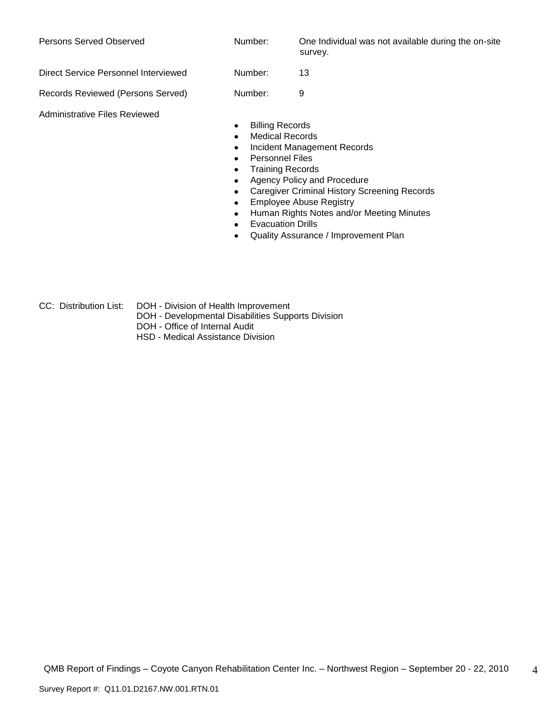| Persons Served Observed              | Number:                                               | One Individual was not available during the on-site<br>survey. |
|--------------------------------------|-------------------------------------------------------|----------------------------------------------------------------|
| Direct Service Personnel Interviewed | Number:                                               | 13                                                             |
| Records Reviewed (Persons Served)    | Number:                                               | 9                                                              |
| Administrative Files Reviewed        | <b>Billing Records</b><br>٠<br><b>Medical Records</b> |                                                                |

- Incident Management Records  $\bullet$
- $\bullet$ Personnel Files
- Training Records  $\bullet$
- Agency Policy and Procedure  $\bullet$
- Caregiver Criminal History Screening Records  $\bullet$
- Employee Abuse Registry  $\bullet$
- Human Rights Notes and/or Meeting Minutes  $\bullet$
- Evacuation Drills  $\bullet$
- Quality Assurance / Improvement Plan  $\bullet$
- CC: Distribution List: DOH Division of Health Improvement
	- DOH Developmental Disabilities Supports Division
	- DOH Office of Internal Audit
	- HSD Medical Assistance Division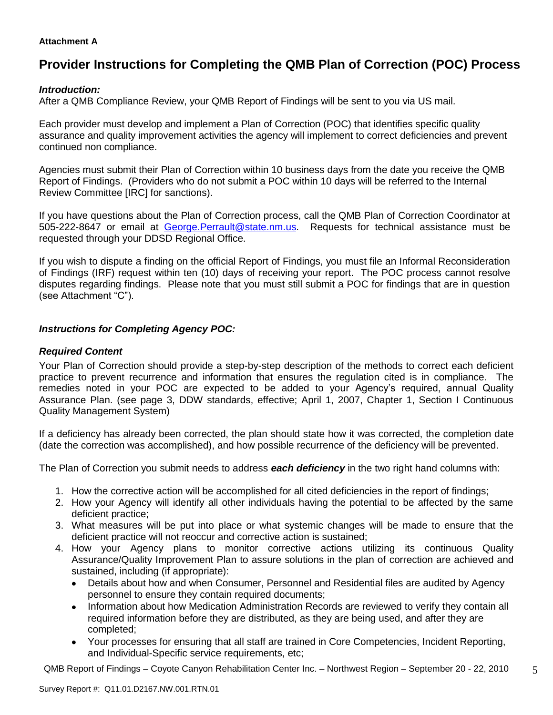# **Attachment A**

# **Provider Instructions for Completing the QMB Plan of Correction (POC) Process**

# *Introduction:*

After a QMB Compliance Review, your QMB Report of Findings will be sent to you via US mail.

Each provider must develop and implement a Plan of Correction (POC) that identifies specific quality assurance and quality improvement activities the agency will implement to correct deficiencies and prevent continued non compliance.

Agencies must submit their Plan of Correction within 10 business days from the date you receive the QMB Report of Findings. (Providers who do not submit a POC within 10 days will be referred to the Internal Review Committee [IRC] for sanctions).

If you have questions about the Plan of Correction process, call the QMB Plan of Correction Coordinator at 505-222-8647 or email at George.Perrault@state.nm.us. Requests for technical assistance must be requested through your DDSD Regional Office.

If you wish to dispute a finding on the official Report of Findings, you must file an Informal Reconsideration of Findings (IRF) request within ten (10) days of receiving your report. The POC process cannot resolve disputes regarding findings. Please note that you must still submit a POC for findings that are in question (see Attachment "C").

# *Instructions for Completing Agency POC:*

# *Required Content*

Your Plan of Correction should provide a step-by-step description of the methods to correct each deficient practice to prevent recurrence and information that ensures the regulation cited is in compliance. The remedies noted in your POC are expected to be added to your Agency's required, annual Quality Assurance Plan. (see page 3, DDW standards, effective; April 1, 2007, Chapter 1, Section I Continuous Quality Management System)

If a deficiency has already been corrected, the plan should state how it was corrected, the completion date (date the correction was accomplished), and how possible recurrence of the deficiency will be prevented.

The Plan of Correction you submit needs to address *each deficiency* in the two right hand columns with:

- 1. How the corrective action will be accomplished for all cited deficiencies in the report of findings;
- 2. How your Agency will identify all other individuals having the potential to be affected by the same deficient practice;
- 3. What measures will be put into place or what systemic changes will be made to ensure that the deficient practice will not reoccur and corrective action is sustained;
- 4. How your Agency plans to monitor corrective actions utilizing its continuous Quality Assurance/Quality Improvement Plan to assure solutions in the plan of correction are achieved and sustained, including (if appropriate):
	- Details about how and when Consumer, Personnel and Residential files are audited by Agency  $\bullet$ personnel to ensure they contain required documents;
	- Information about how Medication Administration Records are reviewed to verify they contain all required information before they are distributed, as they are being used, and after they are completed;
	- Your processes for ensuring that all staff are trained in Core Competencies, Incident Reporting,  $\bullet$ and Individual-Specific service requirements, etc;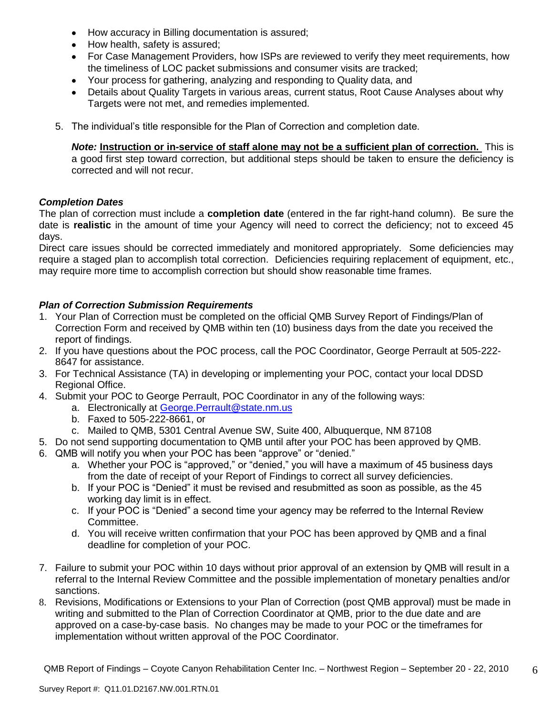- $\bullet$ How accuracy in Billing documentation is assured;
- How health, safety is assured;
- For Case Management Providers, how ISPs are reviewed to verify they meet requirements, how the timeliness of LOC packet submissions and consumer visits are tracked;
- Your process for gathering, analyzing and responding to Quality data, and  $\bullet$
- Details about Quality Targets in various areas, current status, Root Cause Analyses about why Targets were not met, and remedies implemented.
- 5. The individual"s title responsible for the Plan of Correction and completion date.

*Note:* **Instruction or in-service of staff alone may not be a sufficient plan of correction.** This is a good first step toward correction, but additional steps should be taken to ensure the deficiency is corrected and will not recur.

# *Completion Dates*

The plan of correction must include a **completion date** (entered in the far right-hand column). Be sure the date is **realistic** in the amount of time your Agency will need to correct the deficiency; not to exceed 45 days.

Direct care issues should be corrected immediately and monitored appropriately. Some deficiencies may require a staged plan to accomplish total correction. Deficiencies requiring replacement of equipment, etc., may require more time to accomplish correction but should show reasonable time frames.

# *Plan of Correction Submission Requirements*

- 1. Your Plan of Correction must be completed on the official QMB Survey Report of Findings/Plan of Correction Form and received by QMB within ten (10) business days from the date you received the report of findings.
- 2. If you have questions about the POC process, call the POC Coordinator, George Perrault at 505-222- 8647 for assistance.
- 3. For Technical Assistance (TA) in developing or implementing your POC, contact your local DDSD Regional Office.
- 4. Submit your POC to George Perrault, POC Coordinator in any of the following ways:
	- a. Electronically at [George.Perrault@state.nm.us](mailto:George.Perrault@state.nm.us)
	- b. Faxed to 505-222-8661, or
	- c. Mailed to QMB, 5301 Central Avenue SW, Suite 400, Albuquerque, NM 87108
- 5. Do not send supporting documentation to QMB until after your POC has been approved by QMB.
- 6. QMB will notify you when your POC has been "approve" or "denied."
	- a. Whether your POC is "approved," or "denied," you will have a maximum of 45 business days from the date of receipt of your Report of Findings to correct all survey deficiencies.
	- b. If your POC is "Denied" it must be revised and resubmitted as soon as possible, as the 45 working day limit is in effect.
	- c. If your POC is "Denied" a second time your agency may be referred to the Internal Review Committee.
	- d. You will receive written confirmation that your POC has been approved by QMB and a final deadline for completion of your POC.
- 7. Failure to submit your POC within 10 days without prior approval of an extension by QMB will result in a referral to the Internal Review Committee and the possible implementation of monetary penalties and/or sanctions.
- 8. Revisions, Modifications or Extensions to your Plan of Correction (post QMB approval) must be made in writing and submitted to the Plan of Correction Coordinator at QMB, prior to the due date and are approved on a case-by-case basis. No changes may be made to your POC or the timeframes for implementation without written approval of the POC Coordinator.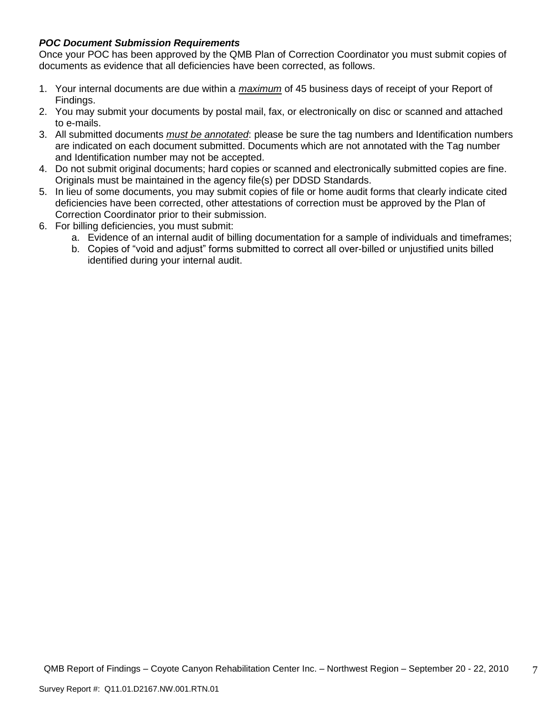# *POC Document Submission Requirements*

Once your POC has been approved by the QMB Plan of Correction Coordinator you must submit copies of documents as evidence that all deficiencies have been corrected, as follows.

- 1. Your internal documents are due within a *maximum* of 45 business days of receipt of your Report of Findings.
- 2. You may submit your documents by postal mail, fax, or electronically on disc or scanned and attached to e-mails.
- 3. All submitted documents *must be annotated*: please be sure the tag numbers and Identification numbers are indicated on each document submitted. Documents which are not annotated with the Tag number and Identification number may not be accepted.
- 4. Do not submit original documents; hard copies or scanned and electronically submitted copies are fine. Originals must be maintained in the agency file(s) per DDSD Standards.
- 5. In lieu of some documents, you may submit copies of file or home audit forms that clearly indicate cited deficiencies have been corrected, other attestations of correction must be approved by the Plan of Correction Coordinator prior to their submission.
- 6. For billing deficiencies, you must submit:
	- a. Evidence of an internal audit of billing documentation for a sample of individuals and timeframes;
	- b. Copies of "void and adjust" forms submitted to correct all over-billed or unjustified units billed identified during your internal audit.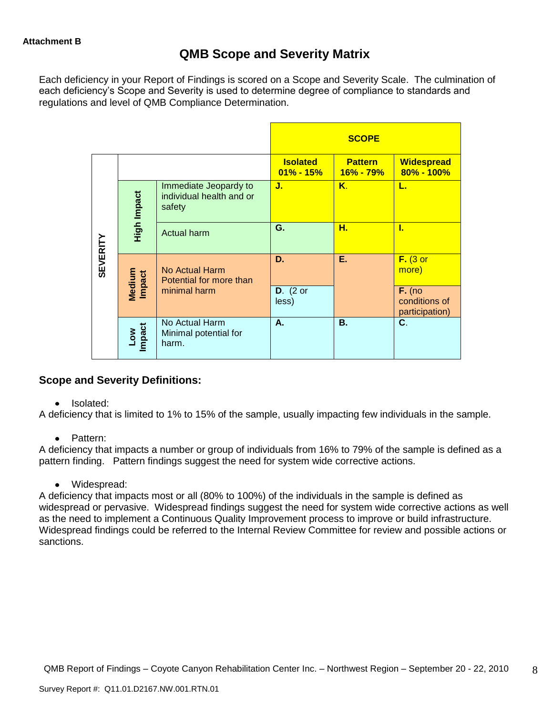# **QMB Scope and Severity Matrix**

Each deficiency in your Report of Findings is scored on a Scope and Severity Scale. The culmination of each deficiency"s Scope and Severity is used to determine degree of compliance to standards and regulations and level of QMB Compliance Determination.

|                 |                                                                            |                                                  |                                  | <b>SCOPE</b>                    |                                             |
|-----------------|----------------------------------------------------------------------------|--------------------------------------------------|----------------------------------|---------------------------------|---------------------------------------------|
|                 |                                                                            |                                                  | <b>Isolated</b><br>$01\% - 15\%$ | <b>Pattern</b><br>$16\% - 79\%$ | <b>Widespread</b><br>80% - 100%             |
|                 | Immediate Jeopardy to<br>High Impact<br>individual health and or<br>safety |                                                  | J.                               | Κ.                              | L.                                          |
|                 |                                                                            | <b>Actual harm</b>                               | G.                               | Н.                              | L                                           |
| <b>SEVERITY</b> | Medium<br>Impact                                                           | No Actual Harm<br>Potential for more than        | D.                               | Е.                              | $F.$ (3 or<br>more)                         |
|                 |                                                                            | minimal harm                                     | $D.$ (2 or<br>less)              |                                 | $F.$ (no<br>conditions of<br>participation) |
|                 | Low<br>Impact                                                              | No Actual Harm<br>Minimal potential for<br>harm. | А.                               | Β.                              | C.                                          |

# **Scope and Severity Definitions:**

#### $\bullet$ Isolated:

A deficiency that is limited to 1% to 15% of the sample, usually impacting few individuals in the sample.

• Pattern:

A deficiency that impacts a number or group of individuals from 16% to 79% of the sample is defined as a pattern finding. Pattern findings suggest the need for system wide corrective actions.

Widespread:

A deficiency that impacts most or all (80% to 100%) of the individuals in the sample is defined as widespread or pervasive. Widespread findings suggest the need for system wide corrective actions as well as the need to implement a Continuous Quality Improvement process to improve or build infrastructure. Widespread findings could be referred to the Internal Review Committee for review and possible actions or sanctions.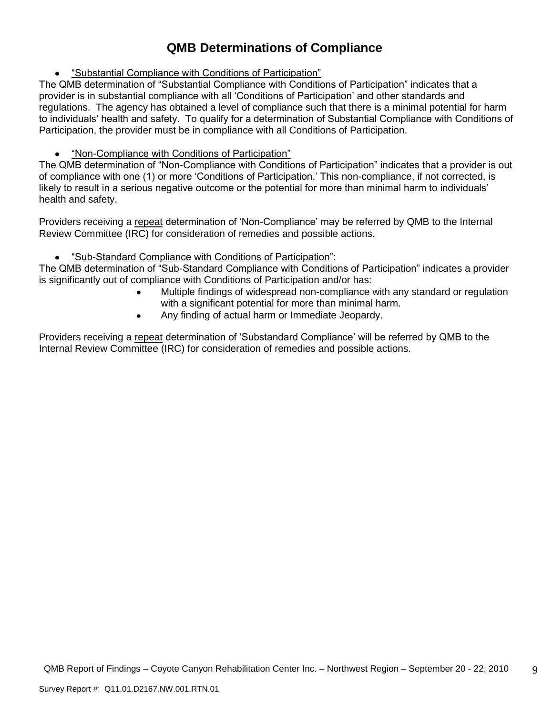# **QMB Determinations of Compliance**

"Substantial Compliance with Conditions of Participation"

The QMB determination of "Substantial Compliance with Conditions of Participation" indicates that a provider is in substantial compliance with all "Conditions of Participation" and other standards and regulations. The agency has obtained a level of compliance such that there is a minimal potential for harm to individuals" health and safety. To qualify for a determination of Substantial Compliance with Conditions of Participation, the provider must be in compliance with all Conditions of Participation.

# "Non-Compliance with Conditions of Participation"

The QMB determination of "Non-Compliance with Conditions of Participation" indicates that a provider is out of compliance with one (1) or more "Conditions of Participation." This non-compliance, if not corrected, is likely to result in a serious negative outcome or the potential for more than minimal harm to individuals' health and safety.

Providers receiving a repeat determination of 'Non-Compliance' may be referred by QMB to the Internal Review Committee (IRC) for consideration of remedies and possible actions.

#### $\bullet$ "Sub-Standard Compliance with Conditions of Participation":

The QMB determination of "Sub-Standard Compliance with Conditions of Participation" indicates a provider is significantly out of compliance with Conditions of Participation and/or has:

- Multiple findings of widespread non-compliance with any standard or regulation with a significant potential for more than minimal harm.
- Any finding of actual harm or Immediate Jeopardy.  $\bullet$

Providers receiving a repeat determination of 'Substandard Compliance' will be referred by QMB to the Internal Review Committee (IRC) for consideration of remedies and possible actions.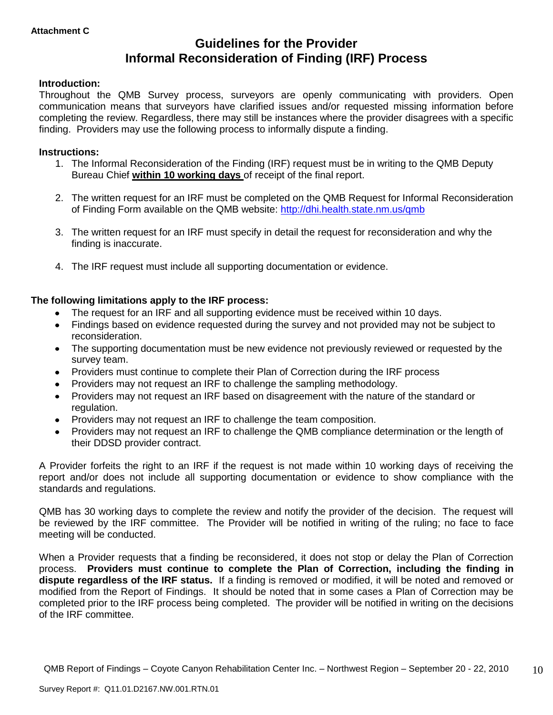# **Guidelines for the Provider Informal Reconsideration of Finding (IRF) Process**

# **Introduction:**

Throughout the QMB Survey process, surveyors are openly communicating with providers. Open communication means that surveyors have clarified issues and/or requested missing information before completing the review. Regardless, there may still be instances where the provider disagrees with a specific finding. Providers may use the following process to informally dispute a finding.

## **Instructions:**

- 1. The Informal Reconsideration of the Finding (IRF) request must be in writing to the QMB Deputy Bureau Chief **within 10 working days** of receipt of the final report.
- 2. The written request for an IRF must be completed on the QMB Request for Informal Reconsideration of Finding Form available on the QMB website:<http://dhi.health.state.nm.us/qmb>
- 3. The written request for an IRF must specify in detail the request for reconsideration and why the finding is inaccurate.
- 4. The IRF request must include all supporting documentation or evidence.

# **The following limitations apply to the IRF process:**

- The request for an IRF and all supporting evidence must be received within 10 days.
- Findings based on evidence requested during the survey and not provided may not be subject to reconsideration.
- The supporting documentation must be new evidence not previously reviewed or requested by the survey team.
- Providers must continue to complete their Plan of Correction during the IRF process  $\bullet$
- Providers may not request an IRF to challenge the sampling methodology.
- Providers may not request an IRF based on disagreement with the nature of the standard or  $\bullet$ regulation.
- Providers may not request an IRF to challenge the team composition.
- Providers may not request an IRF to challenge the QMB compliance determination or the length of  $\bullet$ their DDSD provider contract.

A Provider forfeits the right to an IRF if the request is not made within 10 working days of receiving the report and/or does not include all supporting documentation or evidence to show compliance with the standards and regulations.

QMB has 30 working days to complete the review and notify the provider of the decision. The request will be reviewed by the IRF committee. The Provider will be notified in writing of the ruling; no face to face meeting will be conducted.

When a Provider requests that a finding be reconsidered, it does not stop or delay the Plan of Correction process. **Providers must continue to complete the Plan of Correction, including the finding in dispute regardless of the IRF status.** If a finding is removed or modified, it will be noted and removed or modified from the Report of Findings. It should be noted that in some cases a Plan of Correction may be completed prior to the IRF process being completed. The provider will be notified in writing on the decisions of the IRF committee.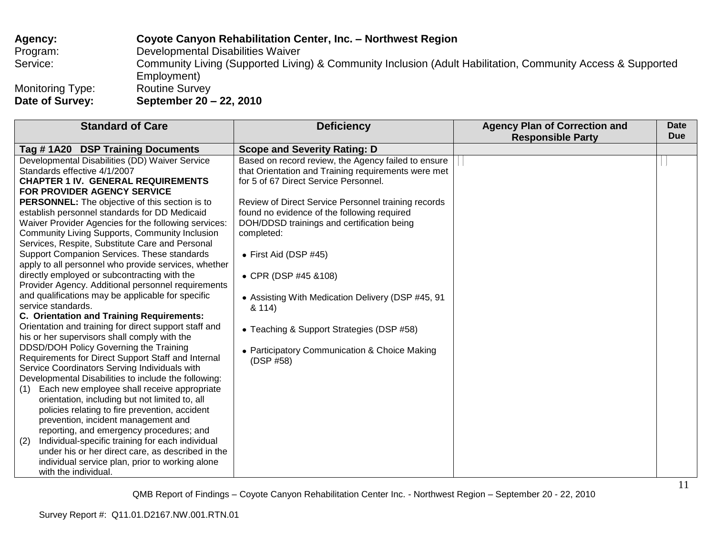| Agency:                             | Coyote Canyon Rehabilitation Center, Inc. - Northwest Region                                                               |
|-------------------------------------|----------------------------------------------------------------------------------------------------------------------------|
| Program:                            | Developmental Disabilities Waiver                                                                                          |
| Service:                            | Community Living (Supported Living) & Community Inclusion (Adult Habilitation, Community Access & Supported<br>Employment) |
| Monitoring Type:<br>Date of Survey: | <b>Routine Survey</b><br>September 20 – 22, 2010                                                                           |
|                                     |                                                                                                                            |

| <b>Standard of Care</b>                                 | <b>Deficiency</b>                                   | <b>Agency Plan of Correction and</b> | Date       |
|---------------------------------------------------------|-----------------------------------------------------|--------------------------------------|------------|
|                                                         |                                                     | <b>Responsible Party</b>             | <b>Due</b> |
| Tag #1A20 DSP Training Documents                        | <b>Scope and Severity Rating: D</b>                 |                                      |            |
| Developmental Disabilities (DD) Waiver Service          | Based on record review, the Agency failed to ensure |                                      |            |
| Standards effective 4/1/2007                            | that Orientation and Training requirements were met |                                      |            |
| <b>CHAPTER 1 IV. GENERAL REQUIREMENTS</b>               | for 5 of 67 Direct Service Personnel.               |                                      |            |
| FOR PROVIDER AGENCY SERVICE                             |                                                     |                                      |            |
| <b>PERSONNEL:</b> The objective of this section is to   | Review of Direct Service Personnel training records |                                      |            |
| establish personnel standards for DD Medicaid           | found no evidence of the following required         |                                      |            |
| Waiver Provider Agencies for the following services:    | DOH/DDSD trainings and certification being          |                                      |            |
| Community Living Supports, Community Inclusion          | completed:                                          |                                      |            |
| Services, Respite, Substitute Care and Personal         |                                                     |                                      |            |
| Support Companion Services. These standards             | • First Aid (DSP $#45$ )                            |                                      |            |
| apply to all personnel who provide services, whether    |                                                     |                                      |            |
| directly employed or subcontracting with the            | • CPR (DSP #45 & 108)                               |                                      |            |
| Provider Agency. Additional personnel requirements      |                                                     |                                      |            |
| and qualifications may be applicable for specific       | • Assisting With Medication Delivery (DSP #45, 91   |                                      |            |
| service standards.                                      | & 114)                                              |                                      |            |
| <b>C. Orientation and Training Requirements:</b>        |                                                     |                                      |            |
| Orientation and training for direct support staff and   | • Teaching & Support Strategies (DSP #58)           |                                      |            |
| his or her supervisors shall comply with the            |                                                     |                                      |            |
| DDSD/DOH Policy Governing the Training                  | • Participatory Communication & Choice Making       |                                      |            |
| Requirements for Direct Support Staff and Internal      | (DSP #58)                                           |                                      |            |
| Service Coordinators Serving Individuals with           |                                                     |                                      |            |
| Developmental Disabilities to include the following:    |                                                     |                                      |            |
| Each new employee shall receive appropriate<br>(1)      |                                                     |                                      |            |
| orientation, including but not limited to, all          |                                                     |                                      |            |
| policies relating to fire prevention, accident          |                                                     |                                      |            |
| prevention, incident management and                     |                                                     |                                      |            |
| reporting, and emergency procedures; and                |                                                     |                                      |            |
| Individual-specific training for each individual<br>(2) |                                                     |                                      |            |
| under his or her direct care, as described in the       |                                                     |                                      |            |
| individual service plan, prior to working alone         |                                                     |                                      |            |
| with the individual.                                    |                                                     |                                      |            |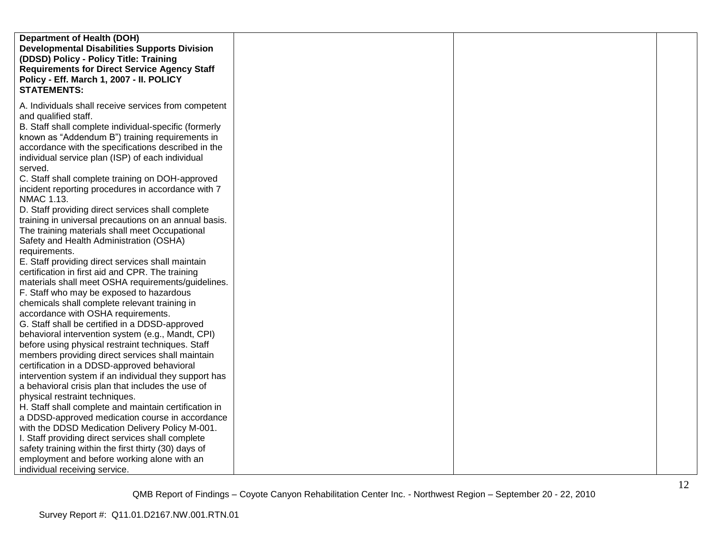| <b>Department of Health (DOH)</b>                     |  |  |
|-------------------------------------------------------|--|--|
|                                                       |  |  |
| <b>Developmental Disabilities Supports Division</b>   |  |  |
| (DDSD) Policy - Policy Title: Training                |  |  |
| <b>Requirements for Direct Service Agency Staff</b>   |  |  |
| Policy - Eff. March 1, 2007 - II. POLICY              |  |  |
| <b>STATEMENTS:</b>                                    |  |  |
|                                                       |  |  |
| A. Individuals shall receive services from competent  |  |  |
| and qualified staff.                                  |  |  |
|                                                       |  |  |
| B. Staff shall complete individual-specific (formerly |  |  |
| known as "Addendum B") training requirements in       |  |  |
| accordance with the specifications described in the   |  |  |
| individual service plan (ISP) of each individual      |  |  |
| served.                                               |  |  |
| C. Staff shall complete training on DOH-approved      |  |  |
| incident reporting procedures in accordance with 7    |  |  |
| NMAC 1.13.                                            |  |  |
|                                                       |  |  |
| D. Staff providing direct services shall complete     |  |  |
| training in universal precautions on an annual basis. |  |  |
| The training materials shall meet Occupational        |  |  |
| Safety and Health Administration (OSHA)               |  |  |
| requirements.                                         |  |  |
| E. Staff providing direct services shall maintain     |  |  |
| certification in first aid and CPR. The training      |  |  |
| materials shall meet OSHA requirements/guidelines.    |  |  |
| F. Staff who may be exposed to hazardous              |  |  |
| chemicals shall complete relevant training in         |  |  |
|                                                       |  |  |
| accordance with OSHA requirements.                    |  |  |
| G. Staff shall be certified in a DDSD-approved        |  |  |
| behavioral intervention system (e.g., Mandt, CPI)     |  |  |
| before using physical restraint techniques. Staff     |  |  |
| members providing direct services shall maintain      |  |  |
| certification in a DDSD-approved behavioral           |  |  |
| intervention system if an individual they support has |  |  |
| a behavioral crisis plan that includes the use of     |  |  |
| physical restraint techniques.                        |  |  |
| H. Staff shall complete and maintain certification in |  |  |
| a DDSD-approved medication course in accordance       |  |  |
| with the DDSD Medication Delivery Policy M-001.       |  |  |
| I. Staff providing direct services shall complete     |  |  |
| safety training within the first thirty (30) days of  |  |  |
| employment and before working alone with an           |  |  |
| individual receiving service.                         |  |  |
|                                                       |  |  |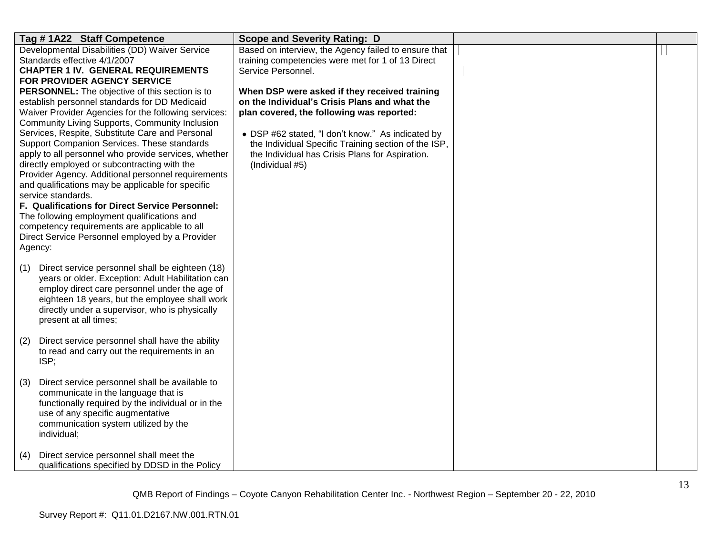| Tag #1A22 Staff Competence                                                                                  | <b>Scope and Severity Rating: D</b>                  |  |
|-------------------------------------------------------------------------------------------------------------|------------------------------------------------------|--|
| Developmental Disabilities (DD) Waiver Service                                                              | Based on interview, the Agency failed to ensure that |  |
| Standards effective 4/1/2007                                                                                | training competencies were met for 1 of 13 Direct    |  |
| <b>CHAPTER 1 IV. GENERAL REQUIREMENTS</b>                                                                   | Service Personnel.                                   |  |
| FOR PROVIDER AGENCY SERVICE                                                                                 |                                                      |  |
| <b>PERSONNEL:</b> The objective of this section is to                                                       | When DSP were asked if they received training        |  |
| establish personnel standards for DD Medicaid                                                               | on the Individual's Crisis Plans and what the        |  |
| Waiver Provider Agencies for the following services:<br>Community Living Supports, Community Inclusion      | plan covered, the following was reported:            |  |
| Services, Respite, Substitute Care and Personal                                                             | • DSP #62 stated, "I don't know." As indicated by    |  |
| Support Companion Services. These standards                                                                 | the Individual Specific Training section of the ISP, |  |
| apply to all personnel who provide services, whether                                                        | the Individual has Crisis Plans for Aspiration.      |  |
| directly employed or subcontracting with the                                                                | (Individual #5)                                      |  |
| Provider Agency. Additional personnel requirements                                                          |                                                      |  |
| and qualifications may be applicable for specific                                                           |                                                      |  |
| service standards.                                                                                          |                                                      |  |
| F. Qualifications for Direct Service Personnel:                                                             |                                                      |  |
| The following employment qualifications and                                                                 |                                                      |  |
| competency requirements are applicable to all                                                               |                                                      |  |
| Direct Service Personnel employed by a Provider                                                             |                                                      |  |
| Agency:                                                                                                     |                                                      |  |
|                                                                                                             |                                                      |  |
| Direct service personnel shall be eighteen (18)<br>(1)<br>years or older. Exception: Adult Habilitation can |                                                      |  |
| employ direct care personnel under the age of                                                               |                                                      |  |
| eighteen 18 years, but the employee shall work                                                              |                                                      |  |
| directly under a supervisor, who is physically                                                              |                                                      |  |
| present at all times;                                                                                       |                                                      |  |
|                                                                                                             |                                                      |  |
| Direct service personnel shall have the ability<br>(2)                                                      |                                                      |  |
| to read and carry out the requirements in an                                                                |                                                      |  |
| ISP;                                                                                                        |                                                      |  |
|                                                                                                             |                                                      |  |
| Direct service personnel shall be available to<br>(3)                                                       |                                                      |  |
| communicate in the language that is                                                                         |                                                      |  |
| functionally required by the individual or in the                                                           |                                                      |  |
| use of any specific augmentative                                                                            |                                                      |  |
| communication system utilized by the                                                                        |                                                      |  |
| individual;                                                                                                 |                                                      |  |
|                                                                                                             |                                                      |  |
| Direct service personnel shall meet the<br>(4)<br>qualifications specified by DDSD in the Policy            |                                                      |  |
|                                                                                                             |                                                      |  |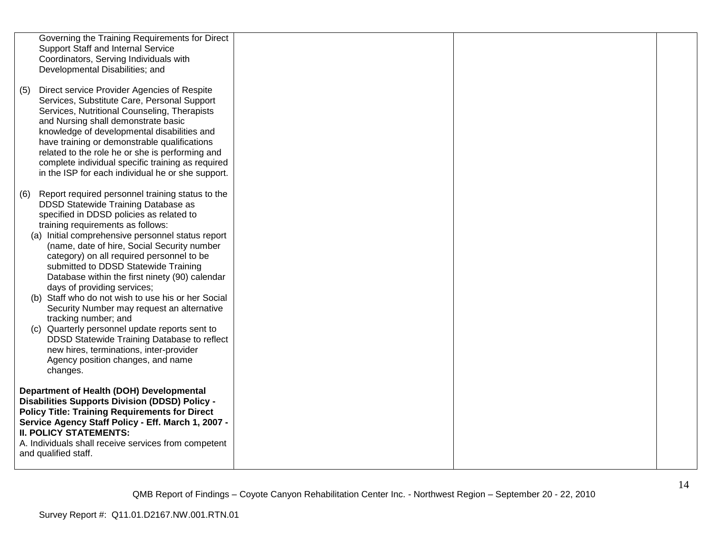|     | Governing the Training Requirements for Direct        |  |  |
|-----|-------------------------------------------------------|--|--|
|     | Support Staff and Internal Service                    |  |  |
|     |                                                       |  |  |
|     | Coordinators, Serving Individuals with                |  |  |
|     | Developmental Disabilities; and                       |  |  |
|     |                                                       |  |  |
| (5) | Direct service Provider Agencies of Respite           |  |  |
|     | Services, Substitute Care, Personal Support           |  |  |
|     | Services, Nutritional Counseling, Therapists          |  |  |
|     | and Nursing shall demonstrate basic                   |  |  |
|     |                                                       |  |  |
|     | knowledge of developmental disabilities and           |  |  |
|     | have training or demonstrable qualifications          |  |  |
|     | related to the role he or she is performing and       |  |  |
|     | complete individual specific training as required     |  |  |
|     | in the ISP for each individual he or she support.     |  |  |
|     |                                                       |  |  |
| (6) | Report required personnel training status to the      |  |  |
|     | DDSD Statewide Training Database as                   |  |  |
|     | specified in DDSD policies as related to              |  |  |
|     | training requirements as follows:                     |  |  |
|     |                                                       |  |  |
|     | (a) Initial comprehensive personnel status report     |  |  |
|     | (name, date of hire, Social Security number           |  |  |
|     | category) on all required personnel to be             |  |  |
|     | submitted to DDSD Statewide Training                  |  |  |
|     | Database within the first ninety (90) calendar        |  |  |
|     | days of providing services;                           |  |  |
|     | (b) Staff who do not wish to use his or her Social    |  |  |
|     | Security Number may request an alternative            |  |  |
|     | tracking number; and                                  |  |  |
|     | (c) Quarterly personnel update reports sent to        |  |  |
|     |                                                       |  |  |
|     | DDSD Statewide Training Database to reflect           |  |  |
|     | new hires, terminations, inter-provider               |  |  |
|     | Agency position changes, and name                     |  |  |
|     | changes.                                              |  |  |
|     |                                                       |  |  |
|     | Department of Health (DOH) Developmental              |  |  |
|     | <b>Disabilities Supports Division (DDSD) Policy -</b> |  |  |
|     | <b>Policy Title: Training Requirements for Direct</b> |  |  |
|     | Service Agency Staff Policy - Eff. March 1, 2007 -    |  |  |
|     | <b>II. POLICY STATEMENTS:</b>                         |  |  |
|     |                                                       |  |  |
|     | A. Individuals shall receive services from competent  |  |  |
|     | and qualified staff.                                  |  |  |
|     |                                                       |  |  |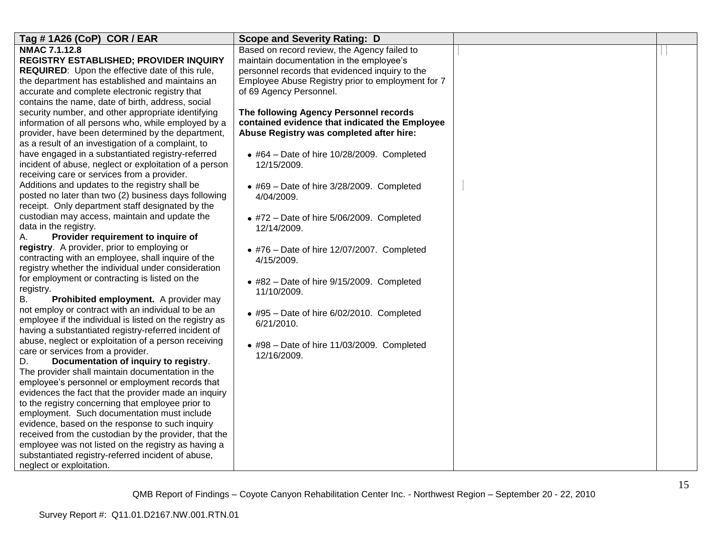| Tag #1A26 (CoP) COR / EAR                                                                                 | <b>Scope and Severity Rating: D</b>                |  |
|-----------------------------------------------------------------------------------------------------------|----------------------------------------------------|--|
| NMAC 7.1.12.8                                                                                             | Based on record review, the Agency failed to       |  |
| REGISTRY ESTABLISHED; PROVIDER INQUIRY                                                                    | maintain documentation in the employee's           |  |
| <b>REQUIRED:</b> Upon the effective date of this rule,                                                    | personnel records that evidenced inquiry to the    |  |
| the department has established and maintains an                                                           | Employee Abuse Registry prior to employment for 7  |  |
| accurate and complete electronic registry that                                                            | of 69 Agency Personnel.                            |  |
| contains the name, date of birth, address, social                                                         |                                                    |  |
| security number, and other appropriate identifying                                                        | The following Agency Personnel records             |  |
| information of all persons who, while employed by a                                                       | contained evidence that indicated the Employee     |  |
| provider, have been determined by the department,                                                         | Abuse Registry was completed after hire:           |  |
| as a result of an investigation of a complaint, to                                                        |                                                    |  |
| have engaged in a substantiated registry-referred                                                         | $\bullet$ #64 - Date of hire 10/28/2009. Completed |  |
| incident of abuse, neglect or exploitation of a person                                                    | 12/15/2009.                                        |  |
| receiving care or services from a provider.                                                               |                                                    |  |
| Additions and updates to the registry shall be                                                            | $\bullet$ #69 - Date of hire 3/28/2009. Completed  |  |
| posted no later than two (2) business days following                                                      | 4/04/2009.                                         |  |
| receipt. Only department staff designated by the                                                          |                                                    |  |
| custodian may access, maintain and update the                                                             | $\bullet$ #72 - Date of hire 5/06/2009. Completed  |  |
| data in the registry.                                                                                     | 12/14/2009.                                        |  |
| Provider requirement to inquire of<br>А.                                                                  |                                                    |  |
| registry. A provider, prior to employing or                                                               | $\bullet$ #76 - Date of hire 12/07/2007. Completed |  |
| contracting with an employee, shall inquire of the<br>registry whether the individual under consideration | 4/15/2009.                                         |  |
| for employment or contracting is listed on the                                                            |                                                    |  |
| registry.                                                                                                 | $\bullet$ #82 - Date of hire 9/15/2009. Completed  |  |
| В.<br>Prohibited employment. A provider may                                                               | 11/10/2009.                                        |  |
| not employ or contract with an individual to be an                                                        |                                                    |  |
| employee if the individual is listed on the registry as                                                   | $\bullet$ #95 - Date of hire 6/02/2010. Completed  |  |
| having a substantiated registry-referred incident of                                                      | 6/21/2010.                                         |  |
| abuse, neglect or exploitation of a person receiving                                                      |                                                    |  |
| care or services from a provider.                                                                         | $\bullet$ #98 - Date of hire 11/03/2009. Completed |  |
| Documentation of inquiry to registry.<br>D.                                                               | 12/16/2009.                                        |  |
| The provider shall maintain documentation in the                                                          |                                                    |  |
| employee's personnel or employment records that                                                           |                                                    |  |
| evidences the fact that the provider made an inquiry                                                      |                                                    |  |
| to the registry concerning that employee prior to                                                         |                                                    |  |
| employment. Such documentation must include                                                               |                                                    |  |
| evidence, based on the response to such inquiry                                                           |                                                    |  |
| received from the custodian by the provider, that the                                                     |                                                    |  |
| employee was not listed on the registry as having a                                                       |                                                    |  |
| substantiated registry-referred incident of abuse,                                                        |                                                    |  |
| neglect or exploitation.                                                                                  |                                                    |  |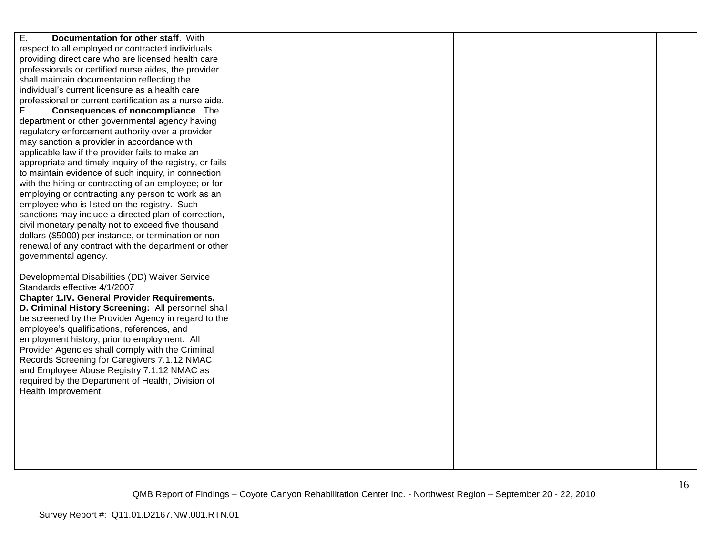| Ε.<br>Documentation for other staff. With                |  |  |
|----------------------------------------------------------|--|--|
|                                                          |  |  |
| respect to all employed or contracted individuals        |  |  |
| providing direct care who are licensed health care       |  |  |
| professionals or certified nurse aides, the provider     |  |  |
| shall maintain documentation reflecting the              |  |  |
| individual's current licensure as a health care          |  |  |
| professional or current certification as a nurse aide.   |  |  |
| F.<br><b>Consequences of noncompliance.</b> The          |  |  |
| department or other governmental agency having           |  |  |
| regulatory enforcement authority over a provider         |  |  |
| may sanction a provider in accordance with               |  |  |
| applicable law if the provider fails to make an          |  |  |
| appropriate and timely inquiry of the registry, or fails |  |  |
| to maintain evidence of such inquiry, in connection      |  |  |
| with the hiring or contracting of an employee; or for    |  |  |
| employing or contracting any person to work as an        |  |  |
| employee who is listed on the registry. Such             |  |  |
| sanctions may include a directed plan of correction,     |  |  |
| civil monetary penalty not to exceed five thousand       |  |  |
| dollars (\$5000) per instance, or termination or non-    |  |  |
| renewal of any contract with the department or other     |  |  |
| governmental agency.                                     |  |  |
|                                                          |  |  |
| Developmental Disabilities (DD) Waiver Service           |  |  |
| Standards effective 4/1/2007                             |  |  |
| <b>Chapter 1.IV. General Provider Requirements.</b>      |  |  |
| D. Criminal History Screening: All personnel shall       |  |  |
| be screened by the Provider Agency in regard to the      |  |  |
| employee's qualifications, references, and               |  |  |
| employment history, prior to employment. All             |  |  |
| Provider Agencies shall comply with the Criminal         |  |  |
| Records Screening for Caregivers 7.1.12 NMAC             |  |  |
| and Employee Abuse Registry 7.1.12 NMAC as               |  |  |
| required by the Department of Health, Division of        |  |  |
| Health Improvement.                                      |  |  |
|                                                          |  |  |
|                                                          |  |  |
|                                                          |  |  |
|                                                          |  |  |
|                                                          |  |  |
|                                                          |  |  |
|                                                          |  |  |
|                                                          |  |  |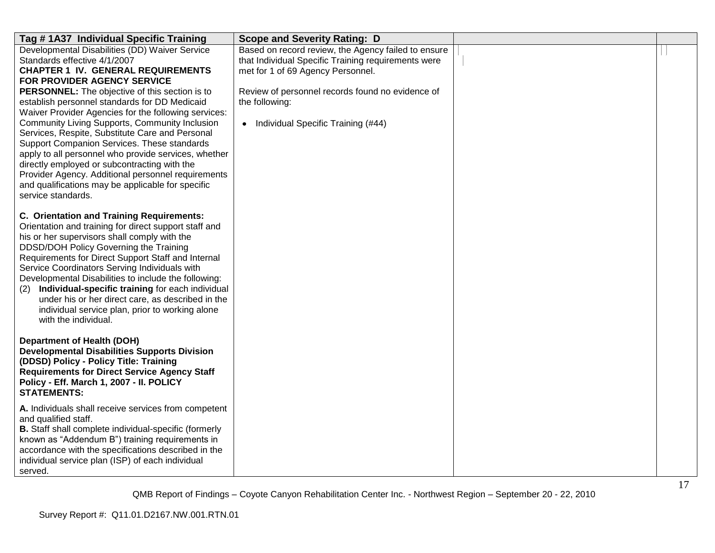| Tag #1A37 Individual Specific Training                                                                                                                                                                                                                                                                                                                                                                                                                                                                                                                                                                                                                                                                             | <b>Scope and Severity Rating: D</b>                                                                                                                                                                                                                           |  |
|--------------------------------------------------------------------------------------------------------------------------------------------------------------------------------------------------------------------------------------------------------------------------------------------------------------------------------------------------------------------------------------------------------------------------------------------------------------------------------------------------------------------------------------------------------------------------------------------------------------------------------------------------------------------------------------------------------------------|---------------------------------------------------------------------------------------------------------------------------------------------------------------------------------------------------------------------------------------------------------------|--|
| Developmental Disabilities (DD) Waiver Service<br>Standards effective 4/1/2007<br><b>CHAPTER 1 IV. GENERAL REQUIREMENTS</b><br>FOR PROVIDER AGENCY SERVICE<br>PERSONNEL: The objective of this section is to<br>establish personnel standards for DD Medicaid<br>Waiver Provider Agencies for the following services:<br>Community Living Supports, Community Inclusion<br>Services, Respite, Substitute Care and Personal<br>Support Companion Services. These standards<br>apply to all personnel who provide services, whether<br>directly employed or subcontracting with the<br>Provider Agency. Additional personnel requirements<br>and qualifications may be applicable for specific<br>service standards. | Based on record review, the Agency failed to ensure<br>that Individual Specific Training requirements were<br>met for 1 of 69 Agency Personnel.<br>Review of personnel records found no evidence of<br>the following:<br>• Individual Specific Training (#44) |  |
| C. Orientation and Training Requirements:<br>Orientation and training for direct support staff and<br>his or her supervisors shall comply with the<br>DDSD/DOH Policy Governing the Training<br>Requirements for Direct Support Staff and Internal<br>Service Coordinators Serving Individuals with<br>Developmental Disabilities to include the following:<br>Individual-specific training for each individual<br>(2)<br>under his or her direct care, as described in the<br>individual service plan, prior to working alone<br>with the individual.                                                                                                                                                             |                                                                                                                                                                                                                                                               |  |
| <b>Department of Health (DOH)</b><br><b>Developmental Disabilities Supports Division</b><br>(DDSD) Policy - Policy Title: Training<br><b>Requirements for Direct Service Agency Staff</b><br>Policy - Eff. March 1, 2007 - II. POLICY<br><b>STATEMENTS:</b>                                                                                                                                                                                                                                                                                                                                                                                                                                                        |                                                                                                                                                                                                                                                               |  |
| A. Individuals shall receive services from competent<br>and qualified staff.<br>B. Staff shall complete individual-specific (formerly<br>known as "Addendum B") training requirements in<br>accordance with the specifications described in the<br>individual service plan (ISP) of each individual<br>served.                                                                                                                                                                                                                                                                                                                                                                                                     |                                                                                                                                                                                                                                                               |  |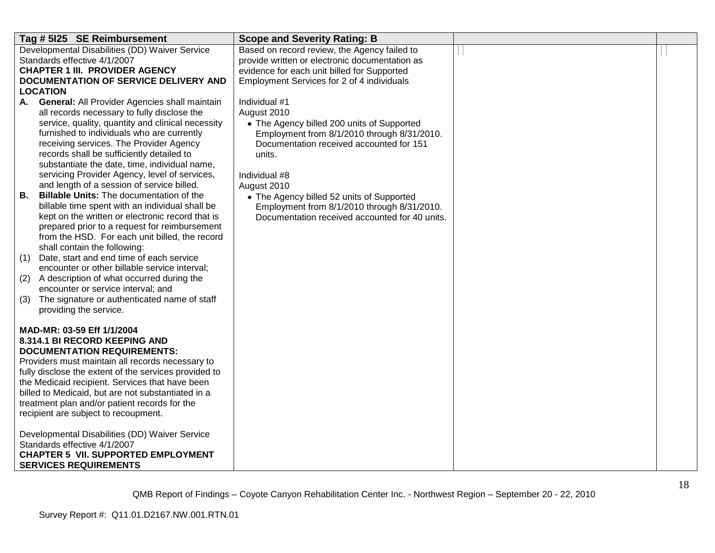| Tag # 5125 SE Reimbursement                                                                       | <b>Scope and Severity Rating: B</b>                      |  |
|---------------------------------------------------------------------------------------------------|----------------------------------------------------------|--|
| Developmental Disabilities (DD) Waiver Service                                                    | Based on record review, the Agency failed to             |  |
| Standards effective 4/1/2007                                                                      | provide written or electronic documentation as           |  |
| <b>CHAPTER 1 III. PROVIDER AGENCY</b>                                                             | evidence for each unit billed for Supported              |  |
| <b>DOCUMENTATION OF SERVICE DELIVERY AND</b><br><b>LOCATION</b>                                   | Employment Services for 2 of 4 individuals               |  |
| <b>General: All Provider Agencies shall maintain</b><br>А.                                        | Individual #1                                            |  |
| all records necessary to fully disclose the                                                       | August 2010                                              |  |
| service, quality, quantity and clinical necessity                                                 | • The Agency billed 200 units of Supported               |  |
| furnished to individuals who are currently                                                        | Employment from 8/1/2010 through 8/31/2010.              |  |
| receiving services. The Provider Agency                                                           | Documentation received accounted for 151                 |  |
| records shall be sufficiently detailed to                                                         | units.                                                   |  |
| substantiate the date, time, individual name,                                                     |                                                          |  |
| servicing Provider Agency, level of services,<br>and length of a session of service billed.       | Individual #8                                            |  |
| <b>Billable Units: The documentation of the</b><br>В.                                             | August 2010<br>• The Agency billed 52 units of Supported |  |
| billable time spent with an individual shall be                                                   | Employment from 8/1/2010 through 8/31/2010.              |  |
| kept on the written or electronic record that is                                                  | Documentation received accounted for 40 units.           |  |
| prepared prior to a request for reimbursement                                                     |                                                          |  |
| from the HSD. For each unit billed, the record                                                    |                                                          |  |
| shall contain the following:                                                                      |                                                          |  |
| Date, start and end time of each service<br>(1)                                                   |                                                          |  |
| encounter or other billable service interval;<br>A description of what occurred during the<br>(2) |                                                          |  |
| encounter or service interval; and                                                                |                                                          |  |
| (3)<br>The signature or authenticated name of staff                                               |                                                          |  |
| providing the service.                                                                            |                                                          |  |
|                                                                                                   |                                                          |  |
| MAD-MR: 03-59 Eff 1/1/2004                                                                        |                                                          |  |
| 8.314.1 BI RECORD KEEPING AND                                                                     |                                                          |  |
| <b>DOCUMENTATION REQUIREMENTS:</b><br>Providers must maintain all records necessary to            |                                                          |  |
| fully disclose the extent of the services provided to                                             |                                                          |  |
| the Medicaid recipient. Services that have been                                                   |                                                          |  |
| billed to Medicaid, but are not substantiated in a                                                |                                                          |  |
| treatment plan and/or patient records for the                                                     |                                                          |  |
| recipient are subject to recoupment.                                                              |                                                          |  |
|                                                                                                   |                                                          |  |
| Developmental Disabilities (DD) Waiver Service<br>Standards effective 4/1/2007                    |                                                          |  |
| <b>CHAPTER 5 VII. SUPPORTED EMPLOYMENT</b>                                                        |                                                          |  |
| <b>SERVICES REQUIREMENTS</b>                                                                      |                                                          |  |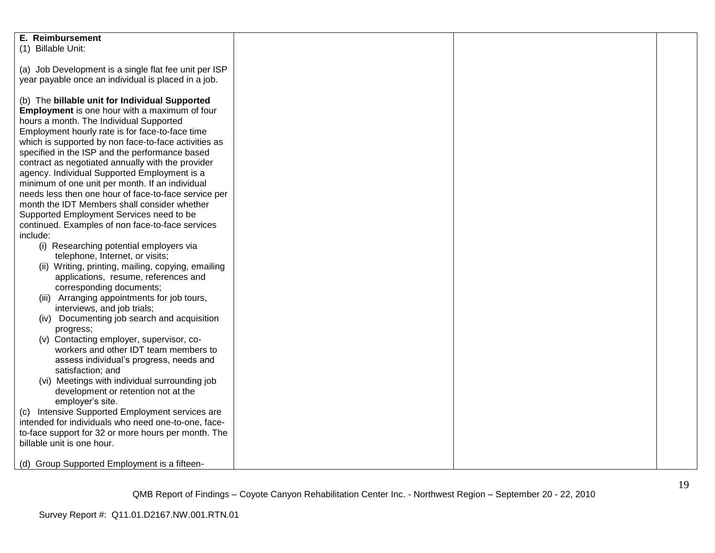| E. Reimbursement                                      |  |  |
|-------------------------------------------------------|--|--|
| (1) Billable Unit:                                    |  |  |
|                                                       |  |  |
| (a) Job Development is a single flat fee unit per ISP |  |  |
|                                                       |  |  |
| year payable once an individual is placed in a job.   |  |  |
|                                                       |  |  |
| (b) The billable unit for Individual Supported        |  |  |
| Employment is one hour with a maximum of four         |  |  |
| hours a month. The Individual Supported               |  |  |
| Employment hourly rate is for face-to-face time       |  |  |
|                                                       |  |  |
| which is supported by non face-to-face activities as  |  |  |
| specified in the ISP and the performance based        |  |  |
| contract as negotiated annually with the provider     |  |  |
| agency. Individual Supported Employment is a          |  |  |
| minimum of one unit per month. If an individual       |  |  |
| needs less then one hour of face-to-face service per  |  |  |
| month the IDT Members shall consider whether          |  |  |
| Supported Employment Services need to be              |  |  |
| continued. Examples of non face-to-face services      |  |  |
| include:                                              |  |  |
|                                                       |  |  |
| (i) Researching potential employers via               |  |  |
| telephone, Internet, or visits;                       |  |  |
| (ii) Writing, printing, mailing, copying, emailing    |  |  |
| applications, resume, references and                  |  |  |
| corresponding documents;                              |  |  |
| (iii) Arranging appointments for job tours,           |  |  |
| interviews, and job trials;                           |  |  |
| (iv) Documenting job search and acquisition           |  |  |
|                                                       |  |  |
| progress;                                             |  |  |
| (v) Contacting employer, supervisor, co-              |  |  |
| workers and other IDT team members to                 |  |  |
| assess individual's progress, needs and               |  |  |
| satisfaction; and                                     |  |  |
| (vi) Meetings with individual surrounding job         |  |  |
| development or retention not at the                   |  |  |
| employer's site.                                      |  |  |
| Intensive Supported Employment services are<br>(C)    |  |  |
| intended for individuals who need one-to-one, face-   |  |  |
|                                                       |  |  |
| to-face support for 32 or more hours per month. The   |  |  |
| billable unit is one hour.                            |  |  |
|                                                       |  |  |
| (d) Group Supported Employment is a fifteen-          |  |  |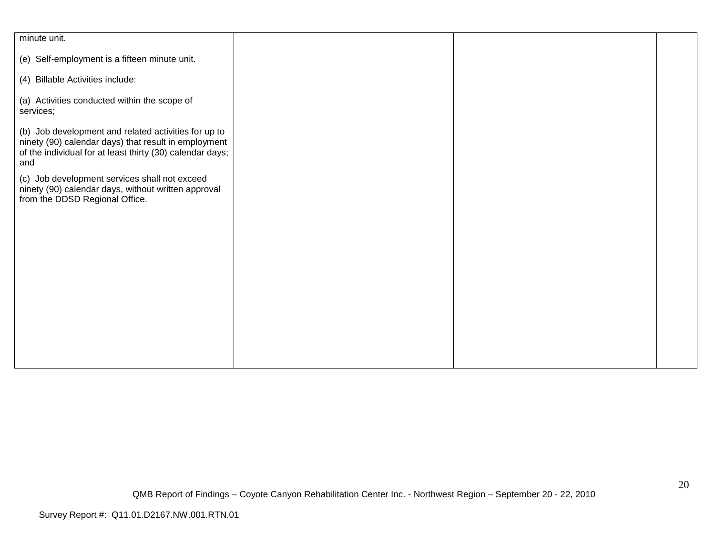| minute unit.                                                                                                                                                                     |  |  |
|----------------------------------------------------------------------------------------------------------------------------------------------------------------------------------|--|--|
|                                                                                                                                                                                  |  |  |
| (e) Self-employment is a fifteen minute unit.                                                                                                                                    |  |  |
| (4) Billable Activities include:                                                                                                                                                 |  |  |
| (a) Activities conducted within the scope of<br>services;                                                                                                                        |  |  |
| (b) Job development and related activities for up to<br>ninety (90) calendar days) that result in employment<br>of the individual for at least thirty (30) calendar days;<br>and |  |  |
| (c) Job development services shall not exceed<br>ninety (90) calendar days, without written approval<br>from the DDSD Regional Office.                                           |  |  |
|                                                                                                                                                                                  |  |  |
|                                                                                                                                                                                  |  |  |
|                                                                                                                                                                                  |  |  |
|                                                                                                                                                                                  |  |  |
|                                                                                                                                                                                  |  |  |
|                                                                                                                                                                                  |  |  |
|                                                                                                                                                                                  |  |  |
|                                                                                                                                                                                  |  |  |
|                                                                                                                                                                                  |  |  |
|                                                                                                                                                                                  |  |  |
|                                                                                                                                                                                  |  |  |
|                                                                                                                                                                                  |  |  |
|                                                                                                                                                                                  |  |  |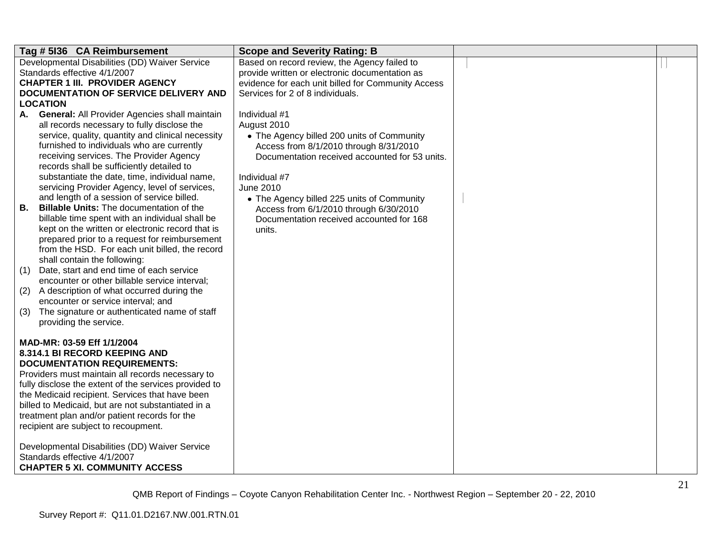| Tag # 5136 CA Reimbursement                                                                    | <b>Scope and Severity Rating: B</b>                                                  |  |
|------------------------------------------------------------------------------------------------|--------------------------------------------------------------------------------------|--|
| Developmental Disabilities (DD) Waiver Service                                                 | Based on record review, the Agency failed to                                         |  |
| Standards effective 4/1/2007                                                                   | provide written or electronic documentation as                                       |  |
| <b>CHAPTER 1 III. PROVIDER AGENCY</b>                                                          | evidence for each unit billed for Community Access                                   |  |
| DOCUMENTATION OF SERVICE DELIVERY AND                                                          | Services for 2 of 8 individuals.                                                     |  |
| <b>LOCATION</b>                                                                                |                                                                                      |  |
| A. General: All Provider Agencies shall maintain                                               | Individual #1                                                                        |  |
| all records necessary to fully disclose the                                                    | August 2010                                                                          |  |
| service, quality, quantity and clinical necessity                                              | • The Agency billed 200 units of Community                                           |  |
| furnished to individuals who are currently                                                     | Access from 8/1/2010 through 8/31/2010                                               |  |
| receiving services. The Provider Agency                                                        | Documentation received accounted for 53 units.                                       |  |
| records shall be sufficiently detailed to                                                      |                                                                                      |  |
| substantiate the date, time, individual name,<br>servicing Provider Agency, level of services, | Individual #7<br><b>June 2010</b>                                                    |  |
| and length of a session of service billed.                                                     |                                                                                      |  |
| <b>Billable Units: The documentation of the</b><br>В.                                          | • The Agency billed 225 units of Community<br>Access from 6/1/2010 through 6/30/2010 |  |
| billable time spent with an individual shall be                                                | Documentation received accounted for 168                                             |  |
| kept on the written or electronic record that is                                               | units.                                                                               |  |
| prepared prior to a request for reimbursement                                                  |                                                                                      |  |
| from the HSD. For each unit billed, the record                                                 |                                                                                      |  |
| shall contain the following:                                                                   |                                                                                      |  |
| Date, start and end time of each service<br>(1)                                                |                                                                                      |  |
| encounter or other billable service interval;                                                  |                                                                                      |  |
| A description of what occurred during the<br>(2)                                               |                                                                                      |  |
| encounter or service interval; and                                                             |                                                                                      |  |
| The signature or authenticated name of staff<br>(3)                                            |                                                                                      |  |
| providing the service.                                                                         |                                                                                      |  |
|                                                                                                |                                                                                      |  |
| MAD-MR: 03-59 Eff 1/1/2004<br>8.314.1 BI RECORD KEEPING AND                                    |                                                                                      |  |
| <b>DOCUMENTATION REQUIREMENTS:</b>                                                             |                                                                                      |  |
| Providers must maintain all records necessary to                                               |                                                                                      |  |
| fully disclose the extent of the services provided to                                          |                                                                                      |  |
| the Medicaid recipient. Services that have been                                                |                                                                                      |  |
| billed to Medicaid, but are not substantiated in a                                             |                                                                                      |  |
| treatment plan and/or patient records for the                                                  |                                                                                      |  |
| recipient are subject to recoupment.                                                           |                                                                                      |  |
|                                                                                                |                                                                                      |  |
| Developmental Disabilities (DD) Waiver Service                                                 |                                                                                      |  |
| Standards effective 4/1/2007                                                                   |                                                                                      |  |
| <b>CHAPTER 5 XI. COMMUNITY ACCESS</b>                                                          |                                                                                      |  |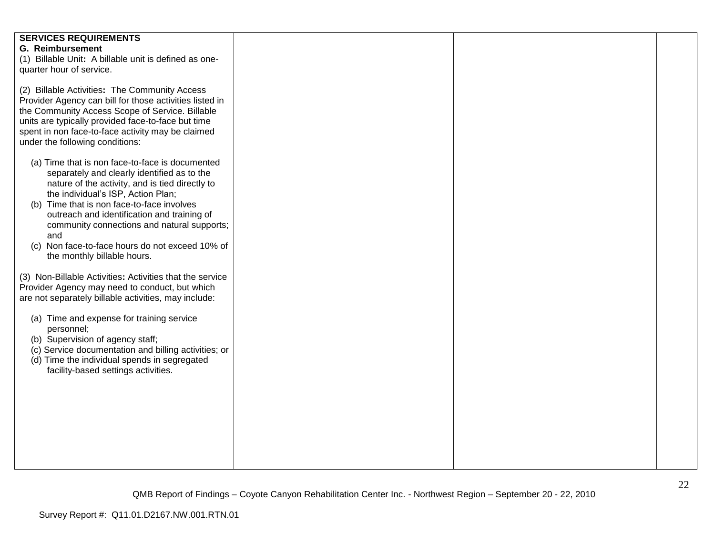| <b>SERVICES REQUIREMENTS</b>                             |  |  |
|----------------------------------------------------------|--|--|
| <b>G. Reimbursement</b>                                  |  |  |
| (1) Billable Unit: A billable unit is defined as one-    |  |  |
| quarter hour of service.                                 |  |  |
|                                                          |  |  |
| (2) Billable Activities: The Community Access            |  |  |
| Provider Agency can bill for those activities listed in  |  |  |
| the Community Access Scope of Service. Billable          |  |  |
| units are typically provided face-to-face but time       |  |  |
| spent in non face-to-face activity may be claimed        |  |  |
| under the following conditions:                          |  |  |
|                                                          |  |  |
| (a) Time that is non face-to-face is documented          |  |  |
| separately and clearly identified as to the              |  |  |
| nature of the activity, and is tied directly to          |  |  |
| the individual's ISP, Action Plan;                       |  |  |
| (b) Time that is non face-to-face involves               |  |  |
| outreach and identification and training of              |  |  |
| community connections and natural supports;              |  |  |
| and                                                      |  |  |
| (c) Non face-to-face hours do not exceed 10% of          |  |  |
| the monthly billable hours.                              |  |  |
|                                                          |  |  |
| (3) Non-Billable Activities: Activities that the service |  |  |
| Provider Agency may need to conduct, but which           |  |  |
| are not separately billable activities, may include:     |  |  |
|                                                          |  |  |
| (a) Time and expense for training service                |  |  |
| personnel;                                               |  |  |
| (b) Supervision of agency staff;                         |  |  |
| (c) Service documentation and billing activities; or     |  |  |
| (d) Time the individual spends in segregated             |  |  |
| facility-based settings activities.                      |  |  |
|                                                          |  |  |
|                                                          |  |  |
|                                                          |  |  |
|                                                          |  |  |
|                                                          |  |  |
|                                                          |  |  |
|                                                          |  |  |
|                                                          |  |  |
|                                                          |  |  |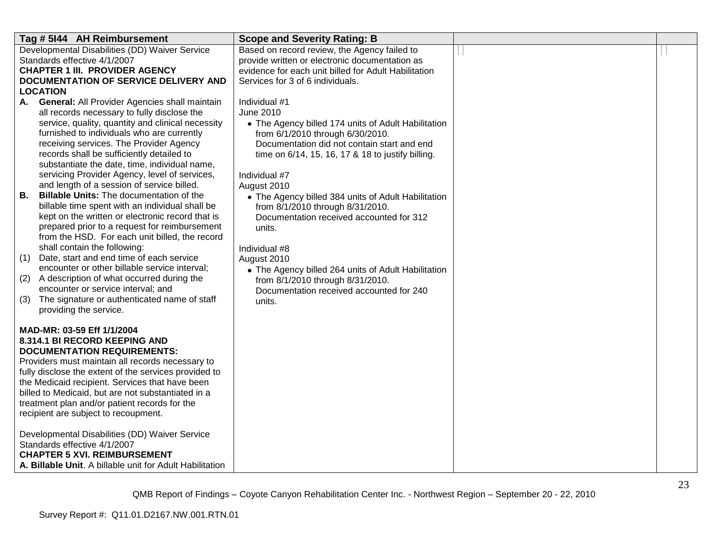| Tag # 5144 AH Reimbursement                                                                              | <b>Scope and Severity Rating: B</b>                                          |  |
|----------------------------------------------------------------------------------------------------------|------------------------------------------------------------------------------|--|
| Developmental Disabilities (DD) Waiver Service                                                           | Based on record review, the Agency failed to                                 |  |
| Standards effective 4/1/2007                                                                             | provide written or electronic documentation as                               |  |
| <b>CHAPTER 1 III. PROVIDER AGENCY</b>                                                                    | evidence for each unit billed for Adult Habilitation                         |  |
| DOCUMENTATION OF SERVICE DELIVERY AND<br>LOCATION                                                        | Services for 3 of 6 individuals.                                             |  |
| General: All Provider Agencies shall maintain<br>A.                                                      | Individual #1                                                                |  |
| all records necessary to fully disclose the                                                              | June 2010                                                                    |  |
| service, quality, quantity and clinical necessity                                                        | • The Agency billed 174 units of Adult Habilitation                          |  |
| furnished to individuals who are currently                                                               | from 6/1/2010 through 6/30/2010.                                             |  |
| receiving services. The Provider Agency                                                                  | Documentation did not contain start and end                                  |  |
| records shall be sufficiently detailed to                                                                | time on 6/14, 15, 16, 17 & 18 to justify billing.                            |  |
| substantiate the date, time, individual name,                                                            |                                                                              |  |
| servicing Provider Agency, level of services,                                                            | Individual #7                                                                |  |
| and length of a session of service billed.                                                               | August 2010                                                                  |  |
| В.<br><b>Billable Units: The documentation of the</b><br>billable time spent with an individual shall be | • The Agency billed 384 units of Adult Habilitation                          |  |
| kept on the written or electronic record that is                                                         | from 8/1/2010 through 8/31/2010.<br>Documentation received accounted for 312 |  |
| prepared prior to a request for reimbursement                                                            | units.                                                                       |  |
| from the HSD. For each unit billed, the record                                                           |                                                                              |  |
| shall contain the following:                                                                             | Individual #8                                                                |  |
| Date, start and end time of each service<br>(1)                                                          | August 2010                                                                  |  |
| encounter or other billable service interval;                                                            | • The Agency billed 264 units of Adult Habilitation                          |  |
| (2)<br>A description of what occurred during the                                                         | from 8/1/2010 through 8/31/2010.                                             |  |
| encounter or service interval; and                                                                       | Documentation received accounted for 240                                     |  |
| (3)<br>The signature or authenticated name of staff<br>providing the service.                            | units.                                                                       |  |
|                                                                                                          |                                                                              |  |
| MAD-MR: 03-59 Eff 1/1/2004                                                                               |                                                                              |  |
| 8.314.1 BI RECORD KEEPING AND                                                                            |                                                                              |  |
| <b>DOCUMENTATION REQUIREMENTS:</b>                                                                       |                                                                              |  |
| Providers must maintain all records necessary to                                                         |                                                                              |  |
| fully disclose the extent of the services provided to                                                    |                                                                              |  |
| the Medicaid recipient. Services that have been<br>billed to Medicaid, but are not substantiated in a    |                                                                              |  |
| treatment plan and/or patient records for the                                                            |                                                                              |  |
| recipient are subject to recoupment.                                                                     |                                                                              |  |
|                                                                                                          |                                                                              |  |
| Developmental Disabilities (DD) Waiver Service                                                           |                                                                              |  |
| Standards effective 4/1/2007                                                                             |                                                                              |  |
| <b>CHAPTER 5 XVI. REIMBURSEMENT</b>                                                                      |                                                                              |  |
| A. Billable Unit. A billable unit for Adult Habilitation                                                 |                                                                              |  |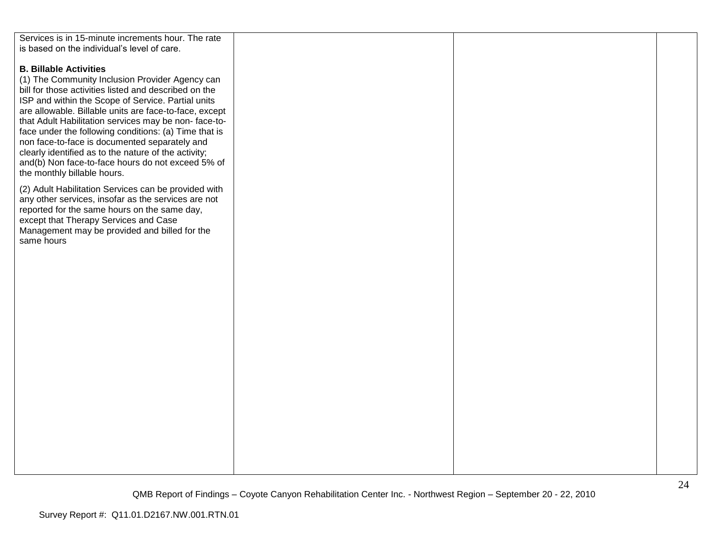| Services is in 15-minute increments hour. The rate     |  |  |
|--------------------------------------------------------|--|--|
|                                                        |  |  |
| is based on the individual's level of care.            |  |  |
|                                                        |  |  |
| <b>B. Billable Activities</b>                          |  |  |
| (1) The Community Inclusion Provider Agency can        |  |  |
|                                                        |  |  |
| bill for those activities listed and described on the  |  |  |
| ISP and within the Scope of Service. Partial units     |  |  |
| are allowable. Billable units are face-to-face, except |  |  |
| that Adult Habilitation services may be non-face-to-   |  |  |
|                                                        |  |  |
| face under the following conditions: (a) Time that is  |  |  |
| non face-to-face is documented separately and          |  |  |
| clearly identified as to the nature of the activity;   |  |  |
| and(b) Non face-to-face hours do not exceed 5% of      |  |  |
| the monthly billable hours.                            |  |  |
|                                                        |  |  |
| (2) Adult Habilitation Services can be provided with   |  |  |
| any other services, insofar as the services are not    |  |  |
|                                                        |  |  |
| reported for the same hours on the same day,           |  |  |
| except that Therapy Services and Case                  |  |  |
| Management may be provided and billed for the          |  |  |
| same hours                                             |  |  |
|                                                        |  |  |
|                                                        |  |  |
|                                                        |  |  |
|                                                        |  |  |
|                                                        |  |  |
|                                                        |  |  |
|                                                        |  |  |
|                                                        |  |  |
|                                                        |  |  |
|                                                        |  |  |
|                                                        |  |  |
|                                                        |  |  |
|                                                        |  |  |
|                                                        |  |  |
|                                                        |  |  |
|                                                        |  |  |
|                                                        |  |  |
|                                                        |  |  |
|                                                        |  |  |
|                                                        |  |  |
|                                                        |  |  |
|                                                        |  |  |
|                                                        |  |  |
|                                                        |  |  |
|                                                        |  |  |
|                                                        |  |  |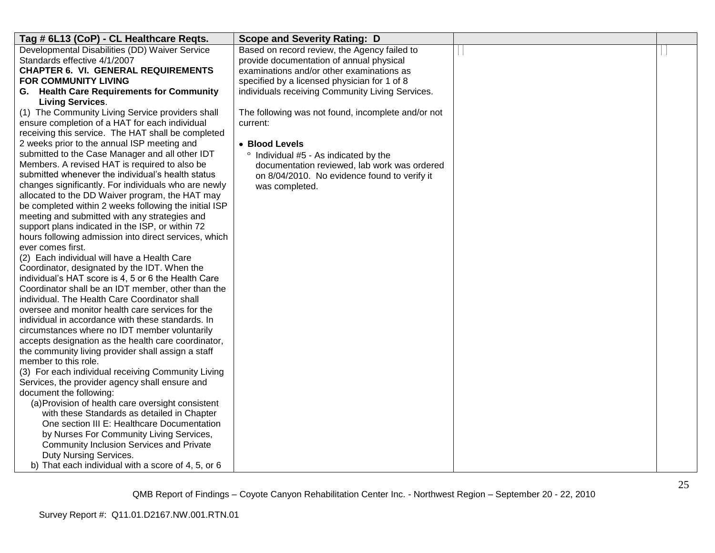| Tag # 6L13 (CoP) - CL Healthcare Reqts.                                                           | <b>Scope and Severity Rating: D</b>                |  |
|---------------------------------------------------------------------------------------------------|----------------------------------------------------|--|
| Developmental Disabilities (DD) Waiver Service                                                    | Based on record review, the Agency failed to       |  |
| Standards effective 4/1/2007                                                                      | provide documentation of annual physical           |  |
| <b>CHAPTER 6. VI. GENERAL REQUIREMENTS</b>                                                        | examinations and/or other examinations as          |  |
| <b>FOR COMMUNITY LIVING</b>                                                                       | specified by a licensed physician for 1 of 8       |  |
| G. Health Care Requirements for Community                                                         | individuals receiving Community Living Services.   |  |
| <b>Living Services.</b>                                                                           |                                                    |  |
| (1) The Community Living Service providers shall                                                  | The following was not found, incomplete and/or not |  |
| ensure completion of a HAT for each individual                                                    | current:                                           |  |
| receiving this service. The HAT shall be completed                                                |                                                    |  |
| 2 weeks prior to the annual ISP meeting and                                                       | • Blood Levels                                     |  |
| submitted to the Case Manager and all other IDT                                                   | Individual #5 - As indicated by the                |  |
| Members. A revised HAT is required to also be                                                     | documentation reviewed, lab work was ordered       |  |
| submitted whenever the individual's health status                                                 | on 8/04/2010. No evidence found to verify it       |  |
| changes significantly. For individuals who are newly                                              | was completed.                                     |  |
| allocated to the DD Waiver program, the HAT may                                                   |                                                    |  |
| be completed within 2 weeks following the initial ISP                                             |                                                    |  |
| meeting and submitted with any strategies and<br>support plans indicated in the ISP, or within 72 |                                                    |  |
| hours following admission into direct services, which                                             |                                                    |  |
| ever comes first.                                                                                 |                                                    |  |
| (2) Each individual will have a Health Care                                                       |                                                    |  |
| Coordinator, designated by the IDT. When the                                                      |                                                    |  |
| individual's HAT score is 4, 5 or 6 the Health Care                                               |                                                    |  |
| Coordinator shall be an IDT member, other than the                                                |                                                    |  |
| individual. The Health Care Coordinator shall                                                     |                                                    |  |
| oversee and monitor health care services for the                                                  |                                                    |  |
| individual in accordance with these standards. In                                                 |                                                    |  |
| circumstances where no IDT member voluntarily                                                     |                                                    |  |
| accepts designation as the health care coordinator,                                               |                                                    |  |
| the community living provider shall assign a staff                                                |                                                    |  |
| member to this role.                                                                              |                                                    |  |
| (3) For each individual receiving Community Living                                                |                                                    |  |
| Services, the provider agency shall ensure and                                                    |                                                    |  |
| document the following:                                                                           |                                                    |  |
| (a) Provision of health care oversight consistent                                                 |                                                    |  |
| with these Standards as detailed in Chapter                                                       |                                                    |  |
| One section III E: Healthcare Documentation                                                       |                                                    |  |
| by Nurses For Community Living Services,                                                          |                                                    |  |
| Community Inclusion Services and Private                                                          |                                                    |  |
| Duty Nursing Services.                                                                            |                                                    |  |
| b) That each individual with a score of 4, 5, or 6                                                |                                                    |  |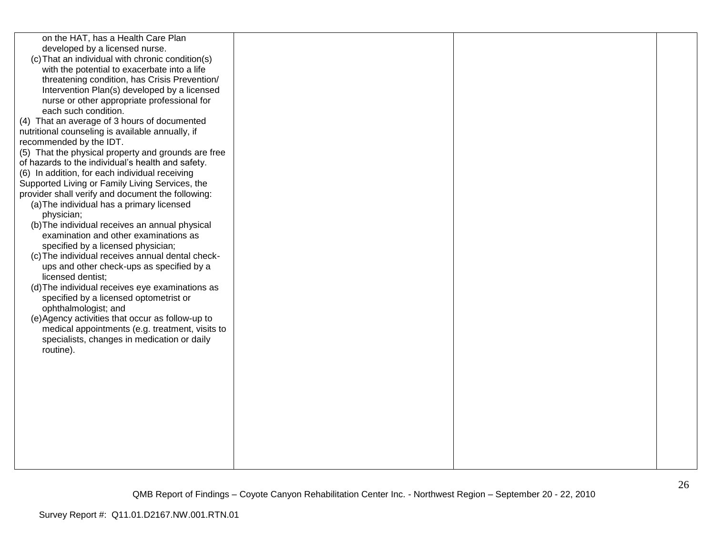| on the HAT, has a Health Care Plan<br>developed by a licensed nurse.<br>(c) That an individual with chronic condition(s)<br>with the potential to exacerbate into a life<br>threatening condition, has Crisis Prevention/<br>Intervention Plan(s) developed by a licensed<br>nurse or other appropriate professional for<br>each such condition.<br>(4) That an average of 3 hours of documented<br>nutritional counseling is available annually, if<br>recommended by the IDT.<br>(5) That the physical property and grounds are free<br>of hazards to the individual's health and safety.<br>(6) In addition, for each individual receiving<br>Supported Living or Family Living Services, the<br>provider shall verify and document the following:<br>(a) The individual has a primary licensed<br>physician;<br>(b) The individual receives an annual physical<br>examination and other examinations as<br>specified by a licensed physician;<br>(c) The individual receives annual dental check-<br>ups and other check-ups as specified by a<br>licensed dentist;<br>(d) The individual receives eye examinations as<br>specified by a licensed optometrist or<br>ophthalmologist; and<br>(e) Agency activities that occur as follow-up to<br>medical appointments (e.g. treatment, visits to<br>specialists, changes in medication or daily<br>routine). |  |  |
|-----------------------------------------------------------------------------------------------------------------------------------------------------------------------------------------------------------------------------------------------------------------------------------------------------------------------------------------------------------------------------------------------------------------------------------------------------------------------------------------------------------------------------------------------------------------------------------------------------------------------------------------------------------------------------------------------------------------------------------------------------------------------------------------------------------------------------------------------------------------------------------------------------------------------------------------------------------------------------------------------------------------------------------------------------------------------------------------------------------------------------------------------------------------------------------------------------------------------------------------------------------------------------------------------------------------------------------------------------------------|--|--|
|                                                                                                                                                                                                                                                                                                                                                                                                                                                                                                                                                                                                                                                                                                                                                                                                                                                                                                                                                                                                                                                                                                                                                                                                                                                                                                                                                                 |  |  |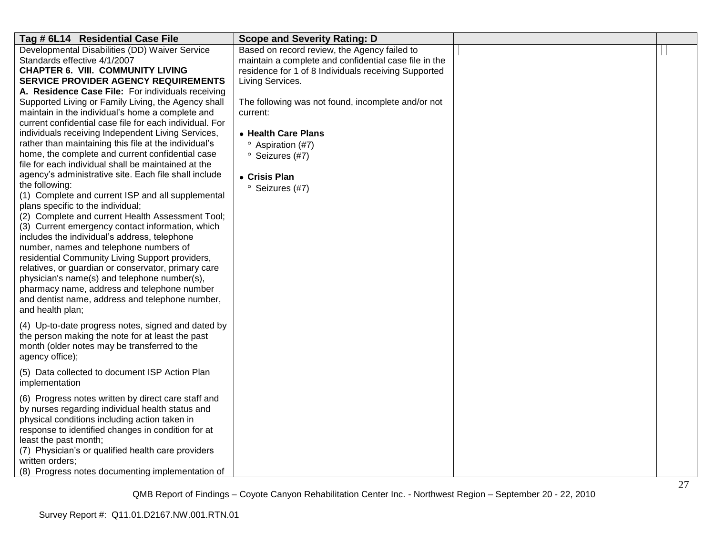| Tag # 6L14 Residential Case File                                                                                                                                                                                                                                                                                                                                                                                                                                                                                                                                                           | <b>Scope and Severity Rating: D</b>                                                                                                                                               |  |
|--------------------------------------------------------------------------------------------------------------------------------------------------------------------------------------------------------------------------------------------------------------------------------------------------------------------------------------------------------------------------------------------------------------------------------------------------------------------------------------------------------------------------------------------------------------------------------------------|-----------------------------------------------------------------------------------------------------------------------------------------------------------------------------------|--|
| Developmental Disabilities (DD) Waiver Service<br>Standards effective 4/1/2007<br><b>CHAPTER 6. VIII. COMMUNITY LIVING</b><br><b>SERVICE PROVIDER AGENCY REQUIREMENTS</b><br>A. Residence Case File: For individuals receiving                                                                                                                                                                                                                                                                                                                                                             | Based on record review, the Agency failed to<br>maintain a complete and confidential case file in the<br>residence for 1 of 8 Individuals receiving Supported<br>Living Services. |  |
| Supported Living or Family Living, the Agency shall<br>maintain in the individual's home a complete and<br>current confidential case file for each individual. For<br>individuals receiving Independent Living Services,<br>rather than maintaining this file at the individual's<br>home, the complete and current confidential case<br>file for each individual shall be maintained at the<br>agency's administrative site. Each file shall include                                                                                                                                      | The following was not found, incomplete and/or not<br>current:<br>• Health Care Plans<br>Aspiration (#7)<br><sup>o</sup> Seizures (#7)                                            |  |
| the following:<br>(1) Complete and current ISP and all supplemental<br>plans specific to the individual;<br>(2) Complete and current Health Assessment Tool;<br>(3) Current emergency contact information, which<br>includes the individual's address, telephone<br>number, names and telephone numbers of<br>residential Community Living Support providers,<br>relatives, or guardian or conservator, primary care<br>physician's name(s) and telephone number(s),<br>pharmacy name, address and telephone number<br>and dentist name, address and telephone number,<br>and health plan; | • Crisis Plan<br><sup>o</sup> Seizures (#7)                                                                                                                                       |  |
| (4) Up-to-date progress notes, signed and dated by<br>the person making the note for at least the past<br>month (older notes may be transferred to the<br>agency office);                                                                                                                                                                                                                                                                                                                                                                                                                  |                                                                                                                                                                                   |  |
| (5) Data collected to document ISP Action Plan<br>implementation                                                                                                                                                                                                                                                                                                                                                                                                                                                                                                                           |                                                                                                                                                                                   |  |
| (6) Progress notes written by direct care staff and<br>by nurses regarding individual health status and<br>physical conditions including action taken in<br>response to identified changes in condition for at<br>least the past month;<br>(7) Physician's or qualified health care providers<br>written orders;<br>(8) Progress notes documenting implementation of                                                                                                                                                                                                                       |                                                                                                                                                                                   |  |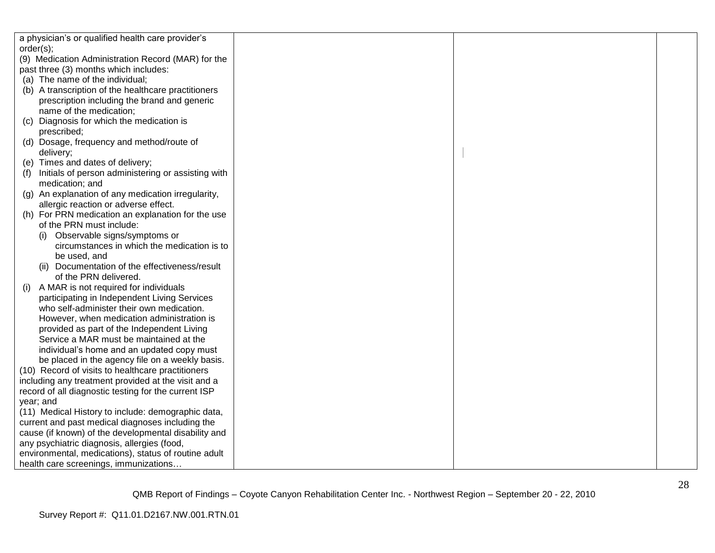| a physician's or qualified health care provider's    |  |  |
|------------------------------------------------------|--|--|
| order(s);                                            |  |  |
| (9) Medication Administration Record (MAR) for the   |  |  |
| past three (3) months which includes:                |  |  |
| (a) The name of the individual;                      |  |  |
| (b) A transcription of the healthcare practitioners  |  |  |
| prescription including the brand and generic         |  |  |
| name of the medication;                              |  |  |
| Diagnosis for which the medication is<br>(c)         |  |  |
| prescribed;                                          |  |  |
| (d) Dosage, frequency and method/route of            |  |  |
| delivery;                                            |  |  |
| (e) Times and dates of delivery;                     |  |  |
| Initials of person administering or assisting with   |  |  |
| medication; and                                      |  |  |
| (g) An explanation of any medication irregularity,   |  |  |
| allergic reaction or adverse effect.                 |  |  |
| (h) For PRN medication an explanation for the use    |  |  |
| of the PRN must include:                             |  |  |
| (i) Observable signs/symptoms or                     |  |  |
| circumstances in which the medication is to          |  |  |
| be used, and                                         |  |  |
| (ii) Documentation of the effectiveness/result       |  |  |
| of the PRN delivered.                                |  |  |
| A MAR is not required for individuals<br>(i)         |  |  |
| participating in Independent Living Services         |  |  |
| who self-administer their own medication.            |  |  |
| However, when medication administration is           |  |  |
| provided as part of the Independent Living           |  |  |
| Service a MAR must be maintained at the              |  |  |
| individual's home and an updated copy must           |  |  |
| be placed in the agency file on a weekly basis.      |  |  |
| (10) Record of visits to healthcare practitioners    |  |  |
| including any treatment provided at the visit and a  |  |  |
| record of all diagnostic testing for the current ISP |  |  |
| year; and                                            |  |  |
| (11) Medical History to include: demographic data,   |  |  |
| current and past medical diagnoses including the     |  |  |
| cause (if known) of the developmental disability and |  |  |
| any psychiatric diagnosis, allergies (food,          |  |  |
| environmental, medications), status of routine adult |  |  |
| health care screenings, immunizations                |  |  |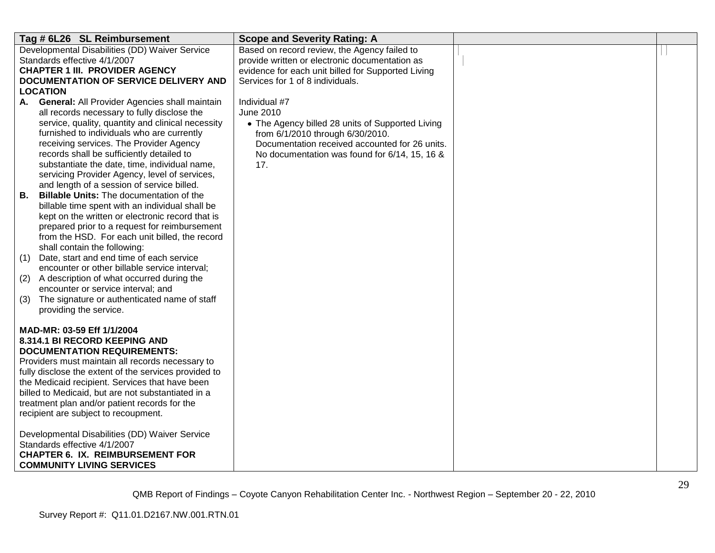| Tag # 6L26 SL Reimbursement                                                                         | <b>Scope and Severity Rating: A</b>                |  |
|-----------------------------------------------------------------------------------------------------|----------------------------------------------------|--|
| Developmental Disabilities (DD) Waiver Service                                                      | Based on record review, the Agency failed to       |  |
| Standards effective 4/1/2007                                                                        | provide written or electronic documentation as     |  |
| <b>CHAPTER 1 III. PROVIDER AGENCY</b>                                                               | evidence for each unit billed for Supported Living |  |
| DOCUMENTATION OF SERVICE DELIVERY AND                                                               | Services for 1 of 8 individuals.                   |  |
| <b>LOCATION</b>                                                                                     |                                                    |  |
| <b>General: All Provider Agencies shall maintain</b><br>А.                                          | Individual #7                                      |  |
| all records necessary to fully disclose the                                                         | June 2010                                          |  |
| service, quality, quantity and clinical necessity                                                   | • The Agency billed 28 units of Supported Living   |  |
| furnished to individuals who are currently                                                          | from 6/1/2010 through 6/30/2010.                   |  |
| receiving services. The Provider Agency                                                             | Documentation received accounted for 26 units.     |  |
| records shall be sufficiently detailed to                                                           | No documentation was found for 6/14, 15, 16 &      |  |
| substantiate the date, time, individual name,                                                       | 17.                                                |  |
| servicing Provider Agency, level of services,                                                       |                                                    |  |
| and length of a session of service billed.                                                          |                                                    |  |
| В.<br><b>Billable Units: The documentation of the</b>                                               |                                                    |  |
| billable time spent with an individual shall be                                                     |                                                    |  |
| kept on the written or electronic record that is<br>prepared prior to a request for reimbursement   |                                                    |  |
| from the HSD. For each unit billed, the record                                                      |                                                    |  |
| shall contain the following:                                                                        |                                                    |  |
| Date, start and end time of each service<br>(1)                                                     |                                                    |  |
| encounter or other billable service interval;                                                       |                                                    |  |
| A description of what occurred during the<br>(2)                                                    |                                                    |  |
| encounter or service interval; and                                                                  |                                                    |  |
| The signature or authenticated name of staff<br>(3)                                                 |                                                    |  |
| providing the service.                                                                              |                                                    |  |
|                                                                                                     |                                                    |  |
| MAD-MR: 03-59 Eff 1/1/2004                                                                          |                                                    |  |
| 8.314.1 BI RECORD KEEPING AND                                                                       |                                                    |  |
| <b>DOCUMENTATION REQUIREMENTS:</b>                                                                  |                                                    |  |
| Providers must maintain all records necessary to                                                    |                                                    |  |
| fully disclose the extent of the services provided to                                               |                                                    |  |
| the Medicaid recipient. Services that have been                                                     |                                                    |  |
| billed to Medicaid, but are not substantiated in a<br>treatment plan and/or patient records for the |                                                    |  |
| recipient are subject to recoupment.                                                                |                                                    |  |
|                                                                                                     |                                                    |  |
| Developmental Disabilities (DD) Waiver Service                                                      |                                                    |  |
| Standards effective 4/1/2007                                                                        |                                                    |  |
| <b>CHAPTER 6. IX. REIMBURSEMENT FOR</b>                                                             |                                                    |  |
| <b>COMMUNITY LIVING SERVICES</b>                                                                    |                                                    |  |
|                                                                                                     |                                                    |  |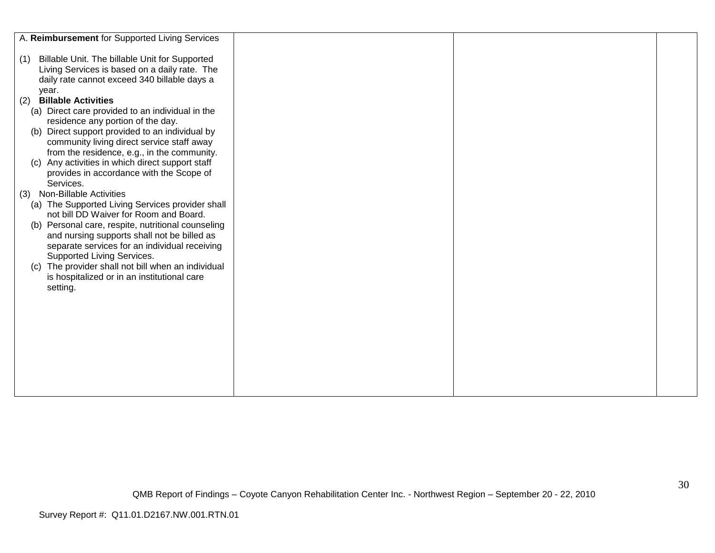| A. Reimbursement for Supported Living Services                                                                                                                  |  |  |
|-----------------------------------------------------------------------------------------------------------------------------------------------------------------|--|--|
| Billable Unit. The billable Unit for Supported<br>(1)<br>Living Services is based on a daily rate. The<br>daily rate cannot exceed 340 billable days a<br>year. |  |  |
| <b>Billable Activities</b><br>(2)                                                                                                                               |  |  |
| (a) Direct care provided to an individual in the                                                                                                                |  |  |
| residence any portion of the day.                                                                                                                               |  |  |
| (b) Direct support provided to an individual by                                                                                                                 |  |  |
| community living direct service staff away                                                                                                                      |  |  |
| from the residence, e.g., in the community.                                                                                                                     |  |  |
| Any activities in which direct support staff<br>(C)                                                                                                             |  |  |
| provides in accordance with the Scope of                                                                                                                        |  |  |
| Services.                                                                                                                                                       |  |  |
| (3) Non-Billable Activities                                                                                                                                     |  |  |
| (a) The Supported Living Services provider shall                                                                                                                |  |  |
| not bill DD Waiver for Room and Board.                                                                                                                          |  |  |
| (b) Personal care, respite, nutritional counseling                                                                                                              |  |  |
| and nursing supports shall not be billed as                                                                                                                     |  |  |
| separate services for an individual receiving                                                                                                                   |  |  |
| Supported Living Services.<br>(c) The provider shall not bill when an individual                                                                                |  |  |
| is hospitalized or in an institutional care                                                                                                                     |  |  |
| setting.                                                                                                                                                        |  |  |
|                                                                                                                                                                 |  |  |
|                                                                                                                                                                 |  |  |
|                                                                                                                                                                 |  |  |
|                                                                                                                                                                 |  |  |
|                                                                                                                                                                 |  |  |
|                                                                                                                                                                 |  |  |
|                                                                                                                                                                 |  |  |
|                                                                                                                                                                 |  |  |
|                                                                                                                                                                 |  |  |
|                                                                                                                                                                 |  |  |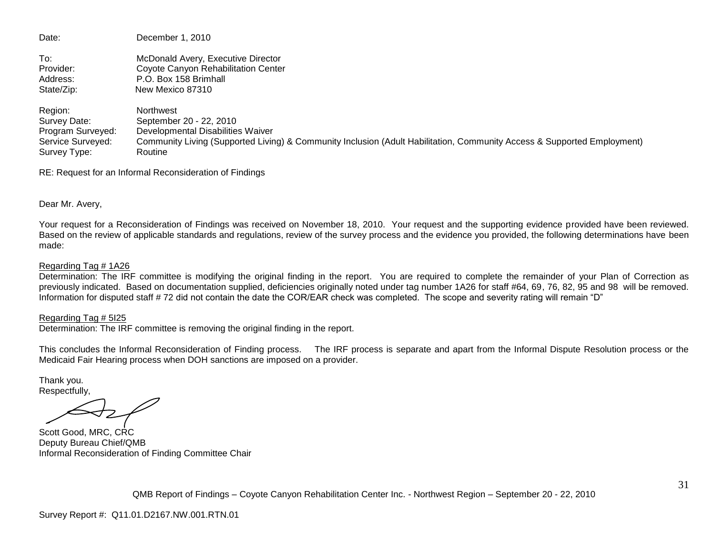| Date:             | December 1, 2010                                                                                                        |
|-------------------|-------------------------------------------------------------------------------------------------------------------------|
| To:               | McDonald Avery, Executive Director                                                                                      |
| Provider:         | Coyote Canyon Rehabilitation Center                                                                                     |
| Address:          | P.O. Box 158 Brimhall                                                                                                   |
| State/Zip:        | New Mexico 87310                                                                                                        |
| Region:           | Northwest                                                                                                               |
| Survey Date:      | September 20 - 22, 2010                                                                                                 |
| Program Surveyed: | Developmental Disabilities Waiver                                                                                       |
| Service Surveyed: | Community Living (Supported Living) & Community Inclusion (Adult Habilitation, Community Access & Supported Employment) |
| Survey Type:      | Routine                                                                                                                 |

RE: Request for an Informal Reconsideration of Findings

Dear Mr. Avery,

Your request for a Reconsideration of Findings was received on November 18, 2010. Your request and the supporting evidence provided have been reviewed. Based on the review of applicable standards and regulations, review of the survey process and the evidence you provided, the following determinations have been made:

#### Regarding Tag # 1A26

Determination: The IRF committee is modifying the original finding in the report. You are required to complete the remainder of your Plan of Correction as previously indicated. Based on documentation supplied, deficiencies originally noted under tag number 1A26 for staff #64, 69, 76, 82, 95 and 98 will be removed. Information for disputed staff # 72 did not contain the date the COR/EAR check was completed. The scope and severity rating will remain "D"

#### Regarding Tag # 5I25

Determination: The IRF committee is removing the original finding in the report.

This concludes the Informal Reconsideration of Finding process. The IRF process is separate and apart from the Informal Dispute Resolution process or the Medicaid Fair Hearing process when DOH sanctions are imposed on a provider.

Thank you. Respectfully,

Scott Good, MRC, CRC Deputy Bureau Chief/QMB Informal Reconsideration of Finding Committee Chair